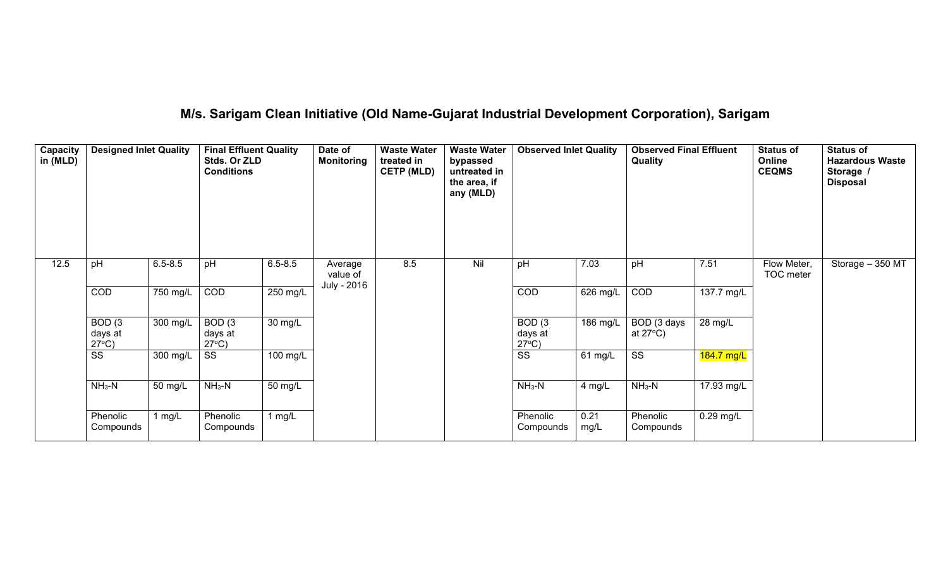### **M/s. Sarigam Clean Initiative (Old Name-Gujarat Industrial Development Corporation), Sarigam**

| Capacity<br>in (MLD) | <b>Designed Inlet Quality</b>                   |             | <b>Final Effluent Quality</b><br>Stds. Or ZLD<br><b>Conditions</b> |             | Date of<br><b>Monitoring</b> | <b>Waste Water</b><br>treated in<br><b>CETP (MLD)</b> | <b>Waste Water</b><br>bypassed<br>untreated in<br>the area, if<br>any (MLD) | <b>Observed Inlet Quality</b>                   |              | <b>Observed Final Effluent</b><br>Quality |             | <b>Status of</b><br>Online<br><b>CEQMS</b> | <b>Status of</b><br><b>Hazardous Waste</b><br>Storage /<br><b>Disposal</b> |
|----------------------|-------------------------------------------------|-------------|--------------------------------------------------------------------|-------------|------------------------------|-------------------------------------------------------|-----------------------------------------------------------------------------|-------------------------------------------------|--------------|-------------------------------------------|-------------|--------------------------------------------|----------------------------------------------------------------------------|
| 12.5                 | pH                                              | $6.5 - 8.5$ | pH                                                                 | $6.5 - 8.5$ | Average<br>value of          | 8.5                                                   | Nil                                                                         | pH                                              | 7.03         | pH                                        | 7.51        | Flow Meter,<br>TOC meter                   | Storage - 350 MT                                                           |
|                      | COD                                             | $750$ mg/L  | <b>COD</b>                                                         | $250$ mg/L  | July - 2016                  |                                                       |                                                                             | COD                                             | 626 mg/L     | COD                                       | 137.7 mg/L  |                                            |                                                                            |
|                      | BOD <sub>(3</sub><br>days at<br>$27^{\circ}C$ ) | 300 mg/L    | BOD <sub>(3</sub><br>days at<br>$27^{\circ}$ C)                    | 30 mg/L     |                              |                                                       |                                                                             | BOD <sub>(3</sub><br>days at<br>$27^{\circ}$ C) | 186 mg/L     | BOD (3 days<br>at $27^{\circ}$ C)         | 28 mg/L     |                                            |                                                                            |
|                      | SS                                              | 300 mg/L    | SS                                                                 | 100 mg/L    |                              |                                                       |                                                                             | $\overline{\text{ss}}$                          | 61 mg/L      | $\overline{\text{SS}}$                    | 184.7 mg/L  |                                            |                                                                            |
|                      | $NH3-N$                                         | 50 mg/L     | $NH3-N$                                                            | 50 mg/L     |                              |                                                       |                                                                             | $NH3-N$                                         | 4 mg/L       | $NH3-N$                                   | 17.93 mg/L  |                                            |                                                                            |
|                      | Phenolic<br>Compounds                           | 1 $mg/L$    | Phenolic<br>Compounds                                              | 1 mg/L      |                              |                                                       |                                                                             | Phenolic<br>Compounds                           | 0.21<br>mg/L | Phenolic<br>Compounds                     | $0.29$ mg/L |                                            |                                                                            |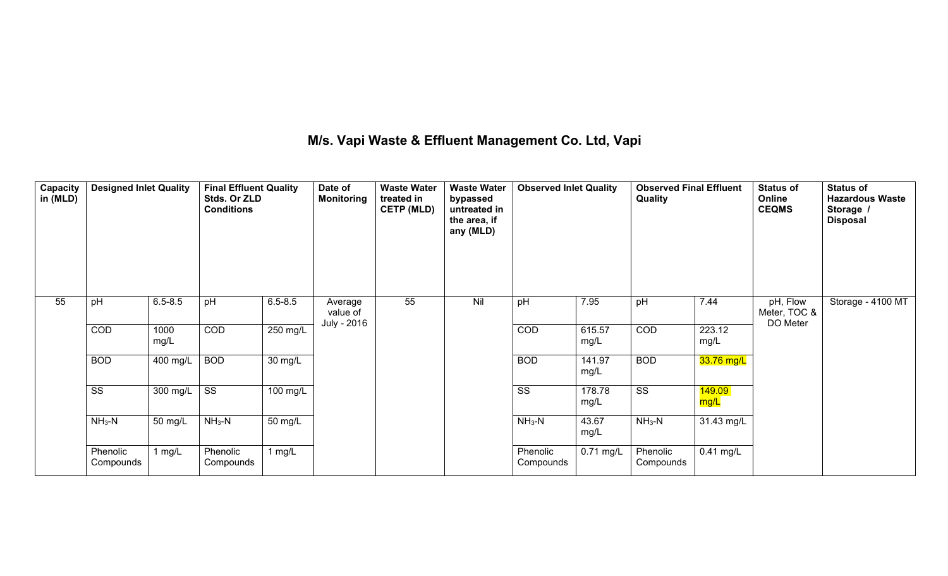### **M/s. Vapi Waste & Effluent Management Co. Ltd, Vapi**

| Capacity<br>in (MLD) | <b>Designed Inlet Quality</b> |              | <b>Final Effluent Quality</b><br>Stds. Or ZLD<br><b>Conditions</b> |             | Date of<br><b>Monitoring</b> | <b>Waste Water</b><br>treated in<br><b>CETP (MLD)</b> | <b>Waste Water</b><br>bypassed<br>untreated in<br>the area, if<br>any (MLD) | <b>Observed Inlet Quality</b> |                | <b>Observed Final Effluent</b><br>Quality |                | <b>Status of</b><br>Online<br><b>CEQMS</b> | <b>Status of</b><br><b>Hazardous Waste</b><br>Storage /<br><b>Disposal</b> |
|----------------------|-------------------------------|--------------|--------------------------------------------------------------------|-------------|------------------------------|-------------------------------------------------------|-----------------------------------------------------------------------------|-------------------------------|----------------|-------------------------------------------|----------------|--------------------------------------------|----------------------------------------------------------------------------|
| 55                   | pH                            | $6.5 - 8.5$  | pH                                                                 | $6.5 - 8.5$ | Average<br>value of          | 55                                                    | Nil                                                                         | pH                            | 7.95           | pH                                        | 7.44           | pH, Flow<br>Meter, TOC &                   | Storage - 4100 MT                                                          |
|                      | $\overline{COD}$              | 1000<br>mg/L | $\overline{COD}$                                                   | 250 mg/L    | July - 2016                  |                                                       |                                                                             | $\overline{COD}$              | 615.57<br>mg/L | $\overline{COD}$                          | 223.12<br>mg/L | DO Meter                                   |                                                                            |
|                      | <b>BOD</b>                    | 400 mg/L     | <b>BOD</b>                                                         | 30 mg/L     |                              |                                                       |                                                                             | <b>BOD</b>                    | 141.97<br>mg/L | <b>BOD</b>                                | 33.76 mg/L     |                                            |                                                                            |
|                      | $\overline{\text{ss}}$        | 300 mg/L     | $\overline{\text{ss}}$                                             | 100 mg/L    |                              |                                                       |                                                                             | SS                            | 178.78<br>mg/L | $\overline{\text{ss}}$                    | 149.09<br>mg/L |                                            |                                                                            |
|                      | $NH3-N$                       | 50 mg/L      | $NH3-N$                                                            | 50 mg/L     |                              |                                                       |                                                                             | $NH3-N$                       | 43.67<br>mg/L  | $NH3-N$                                   | 31.43 mg/L     |                                            |                                                                            |
|                      | Phenolic<br>Compounds         | 1 $mg/L$     | Phenolic<br>Compounds                                              | 1 $mg/L$    |                              |                                                       |                                                                             | Phenolic<br>Compounds         | 0.71 mg/L      | Phenolic<br>Compounds                     | 0.41 mg/L      |                                            |                                                                            |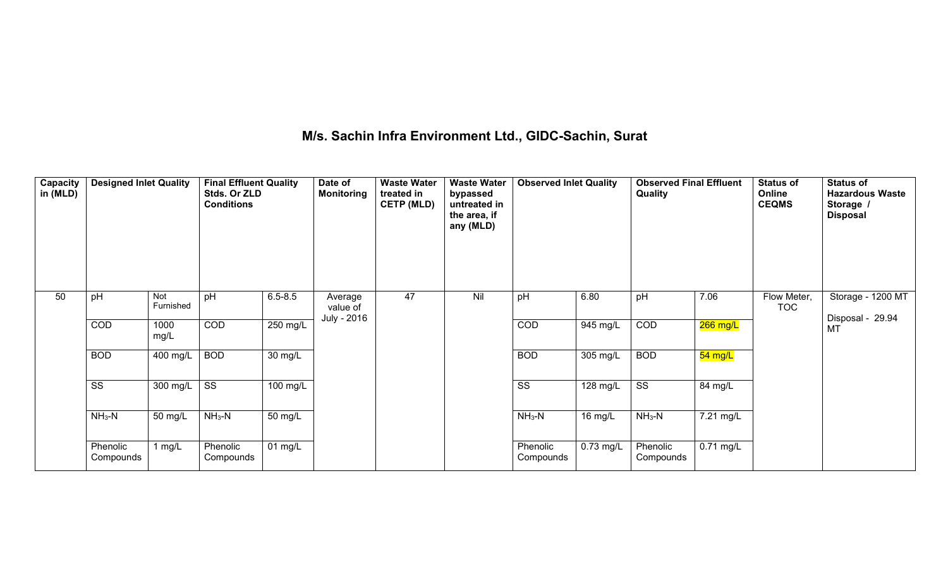### **M/s. Sachin Infra Environment Ltd., GIDC-Sachin, Surat**

| Capacity<br>in (MLD) | <b>Designed Inlet Quality</b> |                  | <b>Final Effluent Quality</b><br>Stds. Or ZLD<br><b>Conditions</b> |             | Date of<br><b>Monitoring</b> | <b>Waste Water</b><br>treated in<br><b>CETP (MLD)</b> | <b>Waste Water</b><br>bypassed<br>untreated in<br>the area, if<br>any (MLD) | <b>Observed Inlet Quality</b> |           | <b>Observed Final Effluent</b><br>Quality |           | <b>Status of</b><br>Online<br><b>CEQMS</b> | <b>Status of</b><br><b>Hazardous Waste</b><br>Storage /<br><b>Disposal</b> |
|----------------------|-------------------------------|------------------|--------------------------------------------------------------------|-------------|------------------------------|-------------------------------------------------------|-----------------------------------------------------------------------------|-------------------------------|-----------|-------------------------------------------|-----------|--------------------------------------------|----------------------------------------------------------------------------|
| 50                   | pH                            | Not<br>Furnished | pH                                                                 | $6.5 - 8.5$ | Average<br>value of          | 47                                                    | Nil                                                                         | pH                            | 6.80      | pH                                        | 7.06      | Flow Meter,<br><b>TOC</b>                  | Storage - 1200 MT                                                          |
|                      | COD                           | 1000<br>mg/L     | COD                                                                | 250 mg/L    | July - 2016                  |                                                       |                                                                             | COD                           | 945 mg/L  | COD                                       | 266 mg/L  |                                            | Disposal - 29.94<br>MT                                                     |
|                      | <b>BOD</b>                    | 400 mg/L         | <b>BOD</b>                                                         | 30 mg/L     |                              |                                                       |                                                                             | <b>BOD</b>                    | 305 mg/L  | <b>BOD</b>                                | 54 mg/L   |                                            |                                                                            |
|                      | SS                            | 300 mg/L         | $\overline{\text{SS}}$                                             | 100 mg/L    |                              |                                                       |                                                                             | SS                            | 128 mg/L  | $\overline{\text{ss}}$                    | 84 mg/L   |                                            |                                                                            |
|                      | $NH3-N$                       | 50 mg/L          | $NH3-N$                                                            | 50 mg/L     |                              |                                                       |                                                                             | $NH3-N$                       | 16 mg/L   | $NH3-N$                                   | 7.21 mg/L |                                            |                                                                            |
|                      | Phenolic<br>Compounds         | 1 $mg/L$         | Phenolic<br>Compounds                                              | 01 mg/L     |                              |                                                       |                                                                             | Phenolic<br>Compounds         | 0.73 mg/L | Phenolic<br>Compounds                     | 0.71 mg/L |                                            |                                                                            |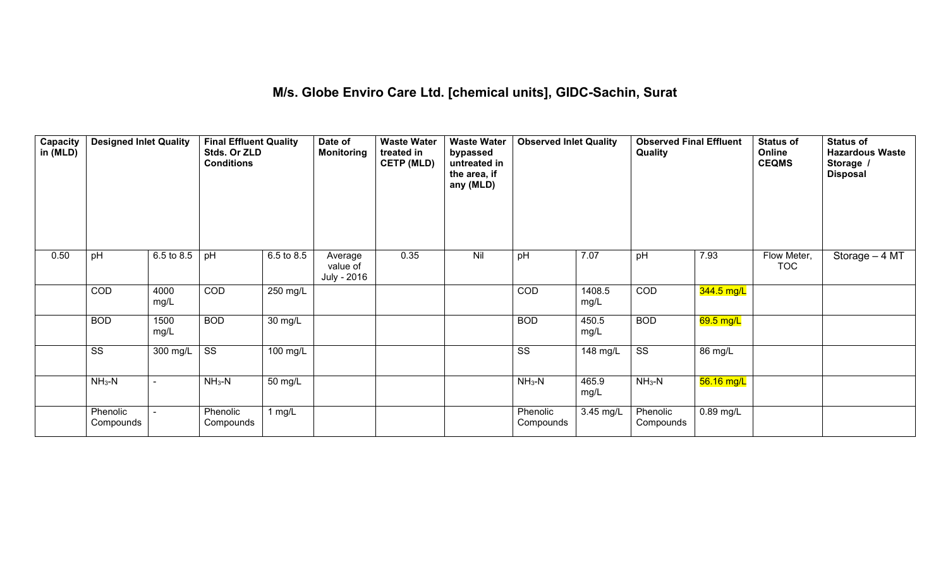# **M/s. Globe Enviro Care Ltd. [chemical units], GIDC-Sachin, Surat**

| Capacity<br>in (MLD) | <b>Designed Inlet Quality</b> |              | <b>Final Effluent Quality</b><br>Stds. Or ZLD<br><b>Conditions</b> |            | Date of<br><b>Monitoring</b>       | <b>Waste Water</b><br>treated in<br><b>CETP (MLD)</b> | <b>Waste Water</b><br>bypassed<br>untreated in<br>the area, if<br>any (MLD) | <b>Observed Inlet Quality</b> |                | <b>Observed Final Effluent</b><br>Quality |             | <b>Status of</b><br>Online<br><b>CEQMS</b> | <b>Status of</b><br><b>Hazardous Waste</b><br>Storage /<br><b>Disposal</b> |
|----------------------|-------------------------------|--------------|--------------------------------------------------------------------|------------|------------------------------------|-------------------------------------------------------|-----------------------------------------------------------------------------|-------------------------------|----------------|-------------------------------------------|-------------|--------------------------------------------|----------------------------------------------------------------------------|
| 0.50                 | pH                            | 6.5 to 8.5   | pH                                                                 | 6.5 to 8.5 | Average<br>value of<br>July - 2016 | 0.35                                                  | Nil                                                                         | pH                            | 7.07           | pH                                        | 7.93        | Flow Meter,<br><b>TOC</b>                  | Storage - 4 MT                                                             |
|                      | <b>COD</b>                    | 4000<br>mg/L | <b>COD</b>                                                         | 250 mg/L   |                                    |                                                       |                                                                             | <b>COD</b>                    | 1408.5<br>mg/L | <b>COD</b>                                | 344.5 mg/L  |                                            |                                                                            |
|                      | <b>BOD</b>                    | 1500<br>mg/L | <b>BOD</b>                                                         | 30 mg/L    |                                    |                                                       |                                                                             | <b>BOD</b>                    | 450.5<br>mg/L  | <b>BOD</b>                                | $69.5$ mg/L |                                            |                                                                            |
|                      | $\overline{\text{SS}}$        | $300$ mg/L   | $\overline{\text{SS}}$                                             | 100 mg/L   |                                    |                                                       |                                                                             | $\overline{\text{SS}}$        | 148 mg/L       | $\overline{\text{SS}}$                    | 86 mg/L     |                                            |                                                                            |
|                      | $NH3-N$                       |              | $NH3-N$                                                            | 50 mg/L    |                                    |                                                       |                                                                             | $NH3-N$                       | 465.9<br>mg/L  | $NH3-N$                                   | 56.16 mg/L  |                                            |                                                                            |
|                      | Phenolic<br>Compounds         |              | Phenolic<br>Compounds                                              | $1$ mg/L   |                                    |                                                       |                                                                             | Phenolic<br>Compounds         | 3.45 mg/L      | Phenolic<br>Compounds                     | 0.89 mg/L   |                                            |                                                                            |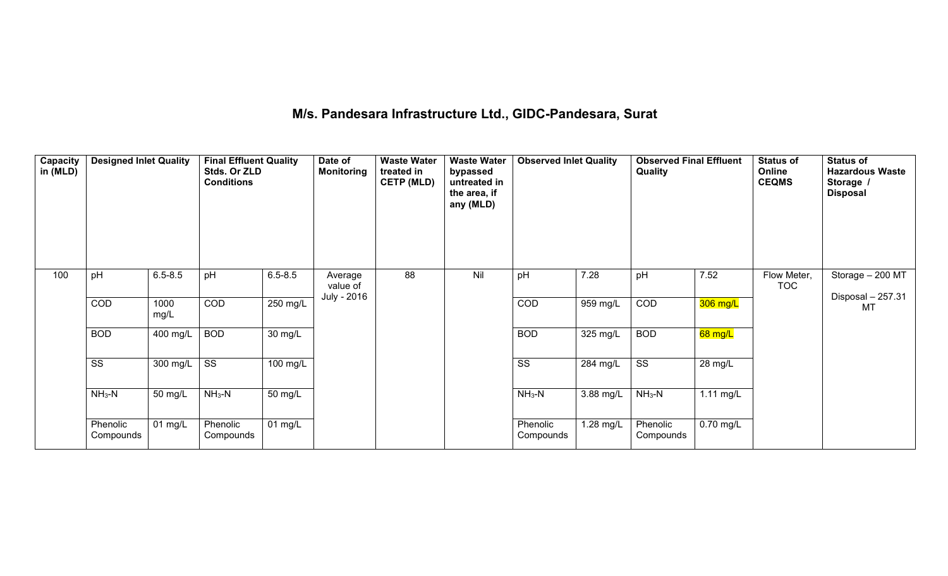### **M/s. Pandesara Infrastructure Ltd., GIDC-Pandesara, Surat**

| Capacity<br>in (MLD) | <b>Designed Inlet Quality</b> |              | <b>Final Effluent Quality</b><br>Stds. Or ZLD<br><b>Conditions</b> |             | Date of<br><b>Monitoring</b> | <b>Waste Water</b><br>treated in<br><b>CETP (MLD)</b> | <b>Waste Water</b><br>bypassed<br>untreated in<br>the area, if<br>any (MLD) | <b>Observed Inlet Quality</b> |           | <b>Observed Final Effluent</b><br>Quality |             | <b>Status of</b><br>Online<br><b>CEQMS</b> | <b>Status of</b><br><b>Hazardous Waste</b><br>Storage /<br><b>Disposal</b> |
|----------------------|-------------------------------|--------------|--------------------------------------------------------------------|-------------|------------------------------|-------------------------------------------------------|-----------------------------------------------------------------------------|-------------------------------|-----------|-------------------------------------------|-------------|--------------------------------------------|----------------------------------------------------------------------------|
| 100                  | pH                            | $6.5 - 8.5$  | pH                                                                 | $6.5 - 8.5$ | Average<br>value of          | 88                                                    | Nil                                                                         | pH                            | 7.28      | pH                                        | 7.52        | Flow Meter,<br><b>TOC</b>                  | Storage - 200 MT                                                           |
|                      | COD                           | 1000<br>mg/L | $\overline{COD}$                                                   | 250 mg/L    | July - 2016                  |                                                       |                                                                             | $\overline{COD}$              | 959 mg/L  | $\overline{COD}$                          | 306 mg/L    |                                            | Disposal - 257.31<br>MT                                                    |
|                      | <b>BOD</b>                    | 400 mg/L     | <b>BOD</b>                                                         | 30 mg/L     |                              |                                                       |                                                                             | <b>BOD</b>                    | 325 mg/L  | <b>BOD</b>                                | 68 mg/L     |                                            |                                                                            |
|                      | SS                            | 300 mg/L     | $\overline{\text{ss}}$                                             | 100 mg/L    |                              |                                                       |                                                                             | $\overline{\text{SS}}$        | 284 mg/L  | $\overline{\text{SS}}$                    | 28 mg/L     |                                            |                                                                            |
|                      | $NH3-N$                       | 50 mg/L      | $NH3-N$                                                            | 50 mg/L     |                              |                                                       |                                                                             | $NH3-N$                       | 3.88 mg/L | $NH3-N$                                   | $1.11$ mg/L |                                            |                                                                            |
|                      | Phenolic<br>Compounds         | $01$ mg/L    | Phenolic<br>Compounds                                              | 01 mg/L     |                              |                                                       |                                                                             | Phenolic<br>Compounds         | 1.28 mg/L | Phenolic<br>Compounds                     | $0.70$ mg/L |                                            |                                                                            |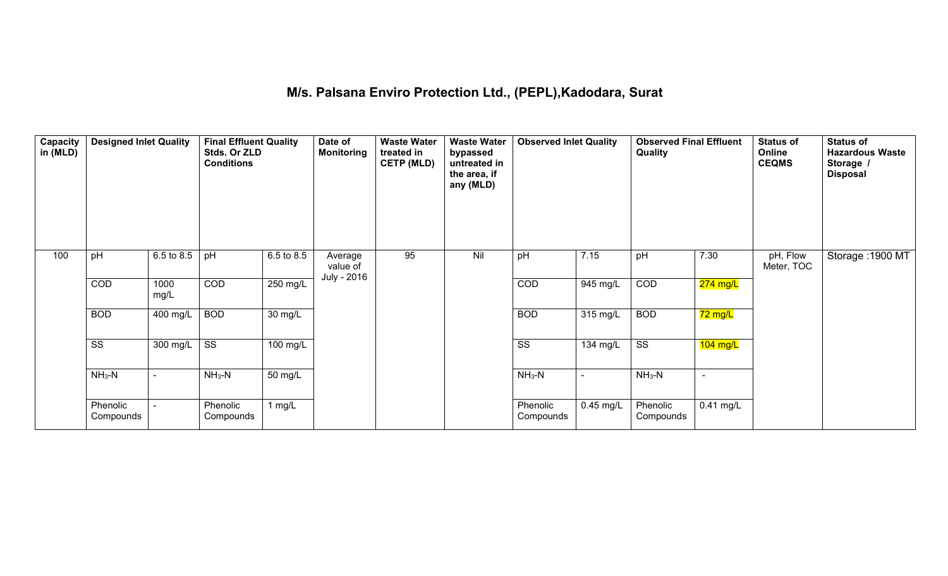### **M/s. Palsana Enviro Protection Ltd., (PEPL),Kadodara, Surat**

| Capacity<br>in (MLD) | <b>Designed Inlet Quality</b> |                          | <b>Final Effluent Quality</b><br>Stds. Or ZLD<br><b>Conditions</b> |            | Date of<br><b>Monitoring</b> | <b>Waste Water</b><br>treated in<br><b>CETP (MLD)</b> | <b>Waste Water</b><br>bypassed<br>untreated in<br>the area, if<br>any (MLD) | <b>Observed Inlet Quality</b> |                          | <b>Observed Final Effluent</b><br><b>Quality</b> |                      | <b>Status of</b><br>Online<br><b>CEQMS</b> | <b>Status of</b><br><b>Hazardous Waste</b><br>Storage /<br><b>Disposal</b> |
|----------------------|-------------------------------|--------------------------|--------------------------------------------------------------------|------------|------------------------------|-------------------------------------------------------|-----------------------------------------------------------------------------|-------------------------------|--------------------------|--------------------------------------------------|----------------------|--------------------------------------------|----------------------------------------------------------------------------|
| 100                  | pH                            | 6.5 to 8.5               | pH                                                                 | 6.5 to 8.5 | Average<br>value of          | 95                                                    | Nil                                                                         | pH                            | 7.15                     | pH                                               | 7.30                 | pH, Flow<br>Meter, TOC                     | Storage: 1900 MT                                                           |
|                      | COD                           | 1000<br>mg/L             | COD                                                                | 250 mg/L   | July - 2016                  |                                                       |                                                                             | COD                           | 945 mg/L                 | COD                                              | 274 mg/L             |                                            |                                                                            |
|                      | <b>BOD</b>                    | 400 mg/L                 | <b>BOD</b>                                                         | 30 mg/L    |                              |                                                       |                                                                             | <b>BOD</b>                    | 315 mg/L                 | <b>BOD</b>                                       | <mark>72 mg/L</mark> |                                            |                                                                            |
|                      | $\overline{\text{ss}}$        | 300 mg/L                 | $\overline{\text{ss}}$                                             | 100 mg/L   |                              |                                                       |                                                                             | $\overline{\text{ss}}$        | 134 mg/L                 | $\overline{\text{ss}}$                           | $104$ mg/L           |                                            |                                                                            |
|                      | $NH3-N$                       | $\overline{\phantom{0}}$ | $NH3-N$                                                            | 50 mg/L    |                              |                                                       |                                                                             | $NH3-N$                       | $\overline{\phantom{a}}$ | $NH3-N$                                          | $\sim$               |                                            |                                                                            |
|                      | Phenolic<br>Compounds         |                          | Phenolic<br>Compounds                                              | 1 $mg/L$   |                              |                                                       |                                                                             | Phenolic<br>Compounds         | 0.45 mg/L                | Phenolic<br>Compounds                            | $0.41$ mg/L          |                                            |                                                                            |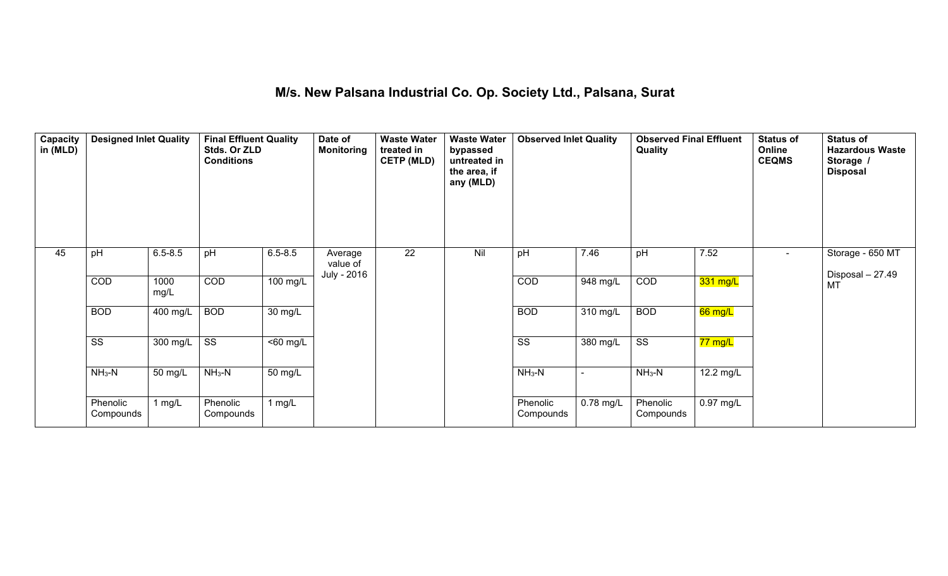### **M/s. New Palsana Industrial Co. Op. Society Ltd., Palsana, Surat**

| Capacity<br>in (MLD) | <b>Designed Inlet Quality</b> |                    | <b>Final Effluent Quality</b><br>Stds. Or ZLD<br><b>Conditions</b> |                      | Date of<br><b>Monitoring</b> | <b>Waste Water</b><br>treated in<br><b>CETP (MLD)</b> | <b>Waste Water</b><br>bypassed<br>untreated in<br>the area, if<br>any (MLD) | <b>Observed Inlet Quality</b> |                          | <b>Observed Final Effluent</b><br>Quality |           | <b>Status of</b><br>Online<br><b>CEQMS</b> | <b>Status of</b><br><b>Hazardous Waste</b><br>Storage /<br><b>Disposal</b> |
|----------------------|-------------------------------|--------------------|--------------------------------------------------------------------|----------------------|------------------------------|-------------------------------------------------------|-----------------------------------------------------------------------------|-------------------------------|--------------------------|-------------------------------------------|-----------|--------------------------------------------|----------------------------------------------------------------------------|
| 45                   | pH                            | $6.5 - 8.5$        | pH                                                                 | $6.5 - 8.5$          | Average<br>value of          | $\overline{22}$                                       | Nil                                                                         | pH                            | 7.46                     | pH                                        | 7.52      | $\sim$                                     | Storage - 650 MT                                                           |
|                      | COD                           | 1000<br>mg/L       | $\overline{COD}$                                                   | 100 mg/L             | July - 2016                  |                                                       |                                                                             | $\overline{COD}$              | 948 mg/L                 | COD                                       | 331 mg/L  |                                            | Disposal - 27.49<br><b>MT</b>                                              |
|                      | <b>BOD</b>                    | 400 mg/L           | <b>BOD</b>                                                         | 30 mg/L              |                              |                                                       |                                                                             | <b>BOD</b>                    | 310 mg/L                 | <b>BOD</b>                                | 66 mg/L   |                                            |                                                                            |
|                      | $\overline{\text{SS}}$        | $300 \text{ mg/L}$ | SS                                                                 | $\overline{50}$ mg/L |                              |                                                       |                                                                             | $\overline{\text{SS}}$        | 380 mg/L                 | $\overline{\text{ss}}$                    | 77 mg/L   |                                            |                                                                            |
|                      | $NH3-N$                       | 50 mg/L            | $NH3-N$                                                            | 50 mg/L              |                              |                                                       |                                                                             | $NH3-N$                       | $\overline{\phantom{a}}$ | $NH3-N$                                   | 12.2 mg/L |                                            |                                                                            |
|                      | Phenolic<br>Compounds         | 1 mg/L             | Phenolic<br>Compounds                                              | 1 mg/L               |                              |                                                       |                                                                             | Phenolic<br>Compounds         | 0.78 mg/L                | Phenolic<br>Compounds                     | 0.97 mg/L |                                            |                                                                            |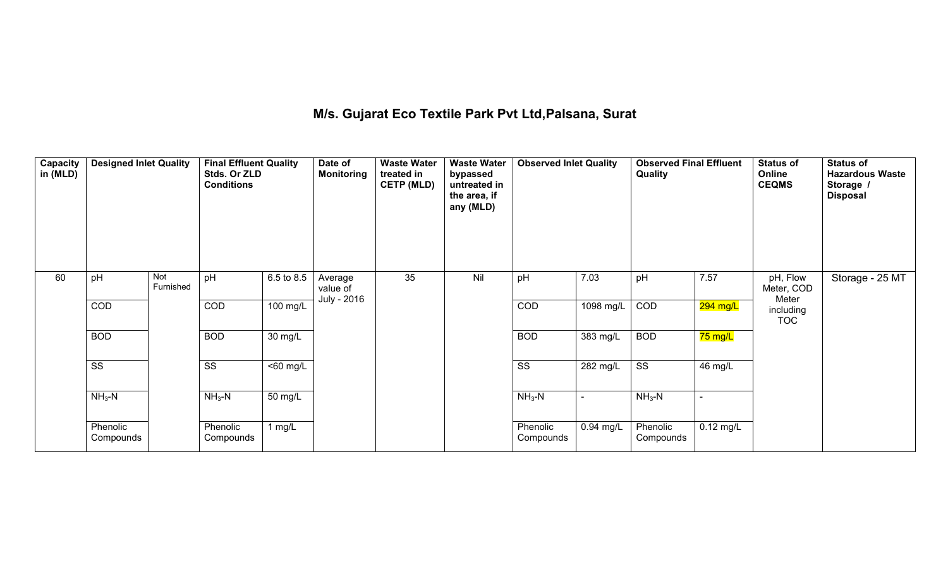### **M/s. Gujarat Eco Textile Park PvtLtd,Palsana, Surat**

| Capacity<br>in (MLD) | <b>Designed Inlet Quality</b> |                  | <b>Final Effluent Quality</b><br>Stds. Or ZLD<br><b>Conditions</b> |            | Date of<br><b>Monitoring</b> | <b>Waste Water</b><br>treated in<br><b>CETP (MLD)</b> | <b>Waste Water</b><br>bypassed<br>untreated in<br>the area, if<br>any (MLD) | <b>Observed Inlet Quality</b> |                    | <b>Observed Final Effluent</b><br>Quality |                          | <b>Status of</b><br>Online<br><b>CEQMS</b> | <b>Status of</b><br><b>Hazardous Waste</b><br>Storage /<br><b>Disposal</b> |
|----------------------|-------------------------------|------------------|--------------------------------------------------------------------|------------|------------------------------|-------------------------------------------------------|-----------------------------------------------------------------------------|-------------------------------|--------------------|-------------------------------------------|--------------------------|--------------------------------------------|----------------------------------------------------------------------------|
| 60                   | pH                            | Not<br>Furnished | pH                                                                 | 6.5 to 8.5 | Average<br>value of          | 35                                                    | Nil                                                                         | pH                            | 7.03               | pH                                        | 7.57                     | pH, Flow<br>Meter, COD                     | Storage - 25 MT                                                            |
|                      | $\overline{COD}$              |                  | $\overline{COD}$                                                   | 100 mg/L   | July - 2016                  |                                                       |                                                                             | $\overline{COD}$              | 1098 mg/L          | COD                                       | <mark>294 mg/L</mark>    | Meter<br>including<br><b>TOC</b>           |                                                                            |
|                      | <b>BOD</b>                    |                  | <b>BOD</b>                                                         | 30 mg/L    |                              |                                                       |                                                                             | <b>BOD</b>                    | $383 \text{ mg/L}$ | <b>BOD</b>                                | 75 mg/L                  |                                            |                                                                            |
|                      | $\overline{\text{ss}}$        |                  | SS                                                                 | <60 mg/L   |                              |                                                       |                                                                             | SS                            | 282 mg/L           | $\overline{\text{SS}}$                    | 46 mg/L                  |                                            |                                                                            |
|                      | $NH3-N$                       |                  | $NH3-N$                                                            | 50 mg/L    |                              |                                                       |                                                                             | $NH3-N$                       |                    | $NH3-N$                                   | $\overline{\phantom{a}}$ |                                            |                                                                            |
|                      | Phenolic<br>Compounds         |                  | Phenolic<br>Compounds                                              | 1 $mg/L$   |                              |                                                       |                                                                             | Phenolic<br>Compounds         | 0.94 mg/L          | Phenolic<br>Compounds                     | $0.12$ mg/L              |                                            |                                                                            |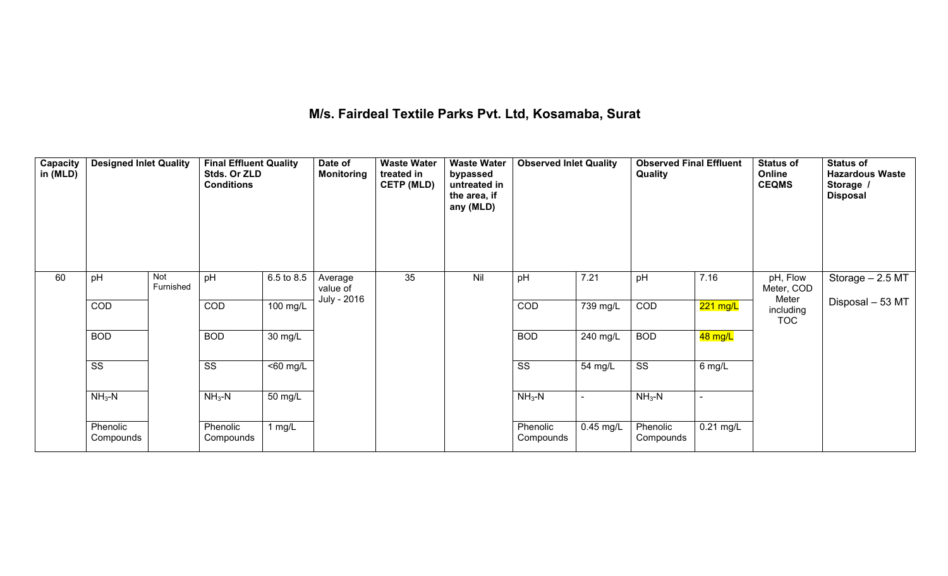### **M/s. Fairdeal Textile Parks Pvt. Ltd, Kosamaba, Surat**

| Capacity<br>in (MLD) | <b>Designed Inlet Quality</b> |                  | <b>Final Effluent Quality</b><br>Stds. Or ZLD<br><b>Conditions</b> |                      | Date of<br><b>Monitoring</b> | <b>Waste Water</b><br>treated in<br><b>CETP (MLD)</b> | <b>Waste Water</b><br>bypassed<br>untreated in<br>the area, if<br>any (MLD) | <b>Observed Inlet Quality</b> |                          | <b>Observed Final Effluent</b><br>Quality |             | <b>Status of</b><br>Online<br><b>CEQMS</b> | <b>Status of</b><br><b>Hazardous Waste</b><br>Storage /<br><b>Disposal</b> |
|----------------------|-------------------------------|------------------|--------------------------------------------------------------------|----------------------|------------------------------|-------------------------------------------------------|-----------------------------------------------------------------------------|-------------------------------|--------------------------|-------------------------------------------|-------------|--------------------------------------------|----------------------------------------------------------------------------|
| 60                   | pH                            | Not<br>Furnished | pH                                                                 | 6.5 to 8.5           | Average<br>value of          | 35                                                    | Nil                                                                         | pH                            | 7.21                     | pH                                        | 7.16        | pH, Flow<br>Meter, COD                     | Storage - 2.5 MT                                                           |
|                      | <b>COD</b>                    |                  | <b>COD</b>                                                         | 100 mg/L             | July - 2016                  |                                                       |                                                                             | <b>COD</b>                    | 739 mg/L                 | <b>COD</b>                                | 221 mg/L    | Meter<br>including<br><b>TOC</b>           | Disposal - 53 MT                                                           |
|                      | <b>BOD</b>                    |                  | <b>BOD</b>                                                         | 30 mg/L              |                              |                                                       |                                                                             | <b>BOD</b>                    | 240 mg/L                 | <b>BOD</b>                                | 48 mg/L     |                                            |                                                                            |
|                      | $\overline{\text{ss}}$        |                  | $\overline{\text{ss}}$                                             | $\overline{50}$ mg/L |                              |                                                       |                                                                             | $\overline{\text{SS}}$        | 54 mg/L                  | $\overline{\text{ss}}$                    | 6 mg/L      |                                            |                                                                            |
|                      | $NH3-N$                       |                  | $NH3-N$                                                            | 50 mg/L              |                              |                                                       |                                                                             | $NH3-N$                       | $\overline{\phantom{a}}$ | $NH3-N$                                   | $\sim$      |                                            |                                                                            |
|                      | Phenolic<br>Compounds         |                  | Phenolic<br>Compounds                                              | 1 $mg/L$             |                              |                                                       |                                                                             | Phenolic<br>Compounds         | 0.45 mg/L                | Phenolic<br>Compounds                     | $0.21$ mg/L |                                            |                                                                            |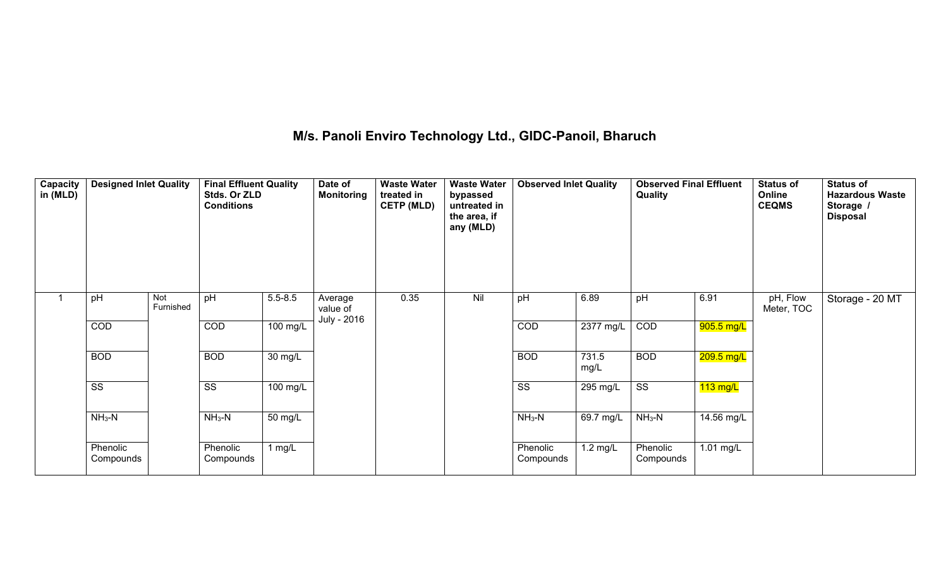### **M/s. Panoli Enviro Technology Ltd., GIDC-Panoil, Bharuch**

| Capacity  <br>in (MLD) | <b>Designed Inlet Quality</b> |                  | <b>Final Effluent Quality</b><br>Stds. Or ZLD<br><b>Conditions</b> |             | Date of<br><b>Monitoring</b> | <b>Waste Water</b><br>treated in<br><b>CETP (MLD)</b> | <b>Waste Water</b><br>bypassed<br>untreated in<br>the area, if<br>any (MLD) | <b>Observed Inlet Quality</b> |                    | <b>Observed Final Effluent</b><br>Quality |              | <b>Status of</b><br>Online<br><b>CEQMS</b> | <b>Status of</b><br><b>Hazardous Waste</b><br>Storage /<br><b>Disposal</b> |
|------------------------|-------------------------------|------------------|--------------------------------------------------------------------|-------------|------------------------------|-------------------------------------------------------|-----------------------------------------------------------------------------|-------------------------------|--------------------|-------------------------------------------|--------------|--------------------------------------------|----------------------------------------------------------------------------|
|                        | pH                            | Not<br>Furnished | pH                                                                 | $5.5 - 8.5$ | Average<br>value of          | 0.35                                                  | Nil                                                                         | pH                            | 6.89               | pH                                        | 6.91         | pH, Flow<br>Meter, TOC                     | Storage - 20 MT                                                            |
|                        | COD                           |                  | COD                                                                | 100 mg/L    | July - 2016                  |                                                       |                                                                             | COD                           | 2377 mg/L          | COD                                       | 905.5 mg/L   |                                            |                                                                            |
|                        | <b>BOD</b>                    |                  | <b>BOD</b>                                                         | 30 mg/L     |                              |                                                       |                                                                             | <b>BOD</b>                    | 731.5<br>mg/L      | <b>BOD</b>                                | $209.5$ mg/L |                                            |                                                                            |
|                        | $\overline{\text{ss}}$        |                  | $\overline{\text{ss}}$                                             | 100 mg/L    |                              |                                                       |                                                                             | $\overline{\text{ss}}$        | 295 mg/L           | $\overline{\text{ss}}$                    | $113$ mg/L   |                                            |                                                                            |
|                        | $NH3-N$                       |                  | $NH3-N$                                                            | 50 mg/L     |                              |                                                       |                                                                             | $NH3-N$                       | 69.7 mg/L          | $NH3-N$                                   | 14.56 mg/L   |                                            |                                                                            |
|                        | Phenolic<br>Compounds         |                  | Phenolic<br>Compounds                                              | 1 $mg/L$    |                              |                                                       |                                                                             | Phenolic<br>Compounds         | $1.2 \text{ mg/L}$ | Phenolic<br>Compounds                     | 1.01 mg/L    |                                            |                                                                            |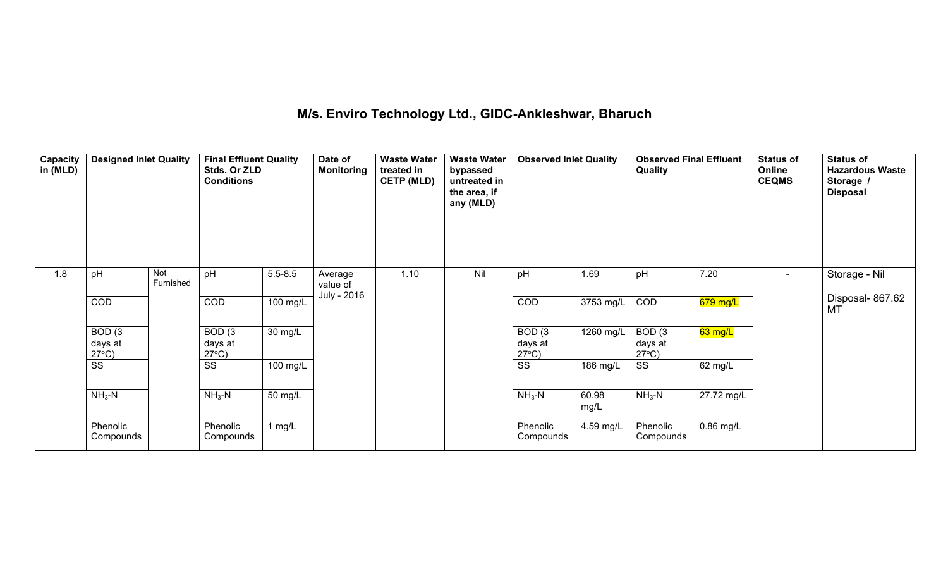# **M/s. Enviro Technology Ltd., GIDC-Ankleshwar, Bharuch**

| Capacity<br>in (MLD) | <b>Designed Inlet Quality</b>        |                  | <b>Final Effluent Quality</b><br>Stds. Or ZLD<br><b>Conditions</b> |             | Date of<br><b>Monitoring</b> | <b>Waste Water</b><br>treated in<br><b>CETP (MLD)</b> | <b>Waste Water</b><br>bypassed<br>untreated in<br>the area, if<br>any (MLD) | <b>Observed Inlet Quality</b>        |               | <b>Observed Final Effluent</b><br>Quality |            | <b>Status of</b><br>Online<br><b>CEQMS</b> | <b>Status of</b><br><b>Hazardous Waste</b><br>Storage /<br><b>Disposal</b> |
|----------------------|--------------------------------------|------------------|--------------------------------------------------------------------|-------------|------------------------------|-------------------------------------------------------|-----------------------------------------------------------------------------|--------------------------------------|---------------|-------------------------------------------|------------|--------------------------------------------|----------------------------------------------------------------------------|
| 1.8                  | pH                                   | Not<br>Furnished | pH                                                                 | $5.5 - 8.5$ | Average<br>value of          | 1.10                                                  | Nil                                                                         | pH                                   | 1.69          | pH                                        | 7.20       | $\overline{\phantom{a}}$                   | Storage - Nil                                                              |
|                      | COD                                  |                  | COD                                                                | 100 mg/L    | July - 2016                  |                                                       |                                                                             | COD                                  | 3753 mg/L     | COD                                       | 679 mg/L   |                                            | Disposal-867.62<br>MT                                                      |
|                      | BOD(3)<br>days at<br>$27^{\circ}C$ ) |                  | BOD(3)<br>days at<br>$27^{\circ}$ C)                               | 30 mg/L     |                              |                                                       |                                                                             | BOD(3)<br>days at<br>$27^{\circ}C$ ) | 1260 mg/L     | BOD(3)<br>days at<br>$27^{\circ}$ C)      | 63 mg/L    |                                            |                                                                            |
|                      | SS                                   |                  | SS                                                                 | 100 mg/L    |                              |                                                       |                                                                             | SS                                   | 186 mg/L      | SS                                        | 62 mg/L    |                                            |                                                                            |
|                      | $NH3-N$                              |                  | $NH3-N$                                                            | 50 mg/L     |                              |                                                       |                                                                             | $NH3-N$                              | 60.98<br>mg/L | $NH3-N$                                   | 27.72 mg/L |                                            |                                                                            |
|                      | Phenolic<br>Compounds                |                  | Phenolic<br>Compounds                                              | 1 $mg/L$    |                              |                                                       |                                                                             | Phenolic<br>Compounds                | 4.59 mg/L     | Phenolic<br>Compounds                     | 0.86 mg/L  |                                            |                                                                            |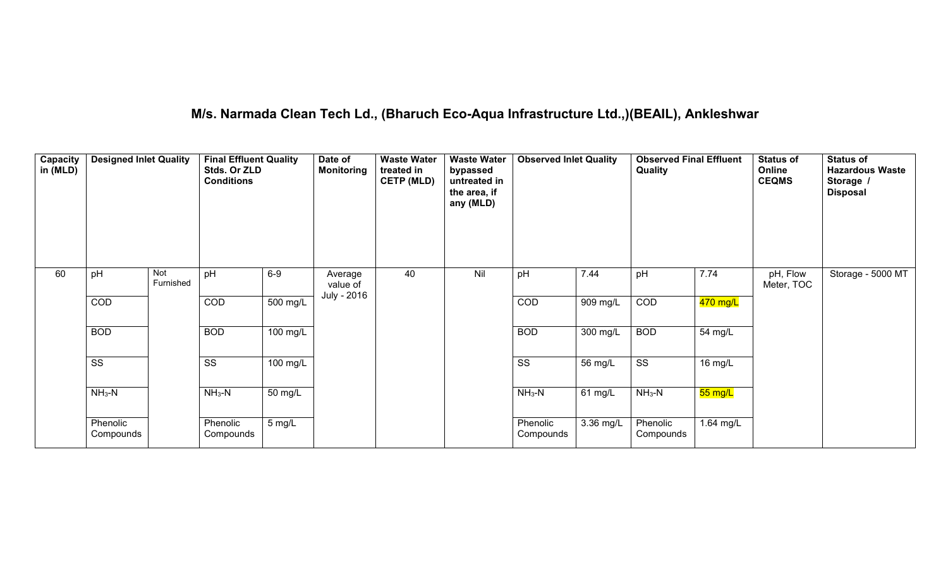# **M/s. Narmada Clean Tech Ld., (Bharuch Eco-Aqua Infrastructure Ltd.,)(BEAIL), Ankleshwar**

| Capacity<br>in (MLD) | <b>Designed Inlet Quality</b> |                  | <b>Final Effluent Quality</b><br>Stds. Or ZLD<br><b>Conditions</b> |          | Date of<br><b>Monitoring</b> | <b>Waste Water</b><br>treated in<br><b>CETP (MLD)</b> | <b>Waste Water</b><br>bypassed<br>untreated in<br>the area, if<br>any (MLD) | <b>Observed Inlet Quality</b> |           | <b>Observed Final Effluent</b><br>Quality |                      | <b>Status of</b><br>Online<br><b>CEQMS</b> | <b>Status of</b><br><b>Hazardous Waste</b><br>Storage /<br><b>Disposal</b> |
|----------------------|-------------------------------|------------------|--------------------------------------------------------------------|----------|------------------------------|-------------------------------------------------------|-----------------------------------------------------------------------------|-------------------------------|-----------|-------------------------------------------|----------------------|--------------------------------------------|----------------------------------------------------------------------------|
| 60                   | pH                            | Not<br>Furnished | pH                                                                 | $6-9$    | Average<br>value of          | 40                                                    | Nil                                                                         | pH                            | 7.44      | pH                                        | 7.74                 | pH, Flow<br>Meter, TOC                     | Storage - 5000 MT                                                          |
|                      | COD                           |                  | COD                                                                | 500 mg/L | July - 2016                  |                                                       |                                                                             | COD                           | 909 mg/L  | COD                                       | 470 mg/L             |                                            |                                                                            |
|                      | <b>BOD</b>                    |                  | <b>BOD</b>                                                         | 100 mg/L |                              |                                                       |                                                                             | <b>BOD</b>                    | 300 mg/L  | <b>BOD</b>                                | 54 mg/L              |                                            |                                                                            |
|                      | $\overline{\text{ss}}$        |                  | $\overline{\text{SS}}$                                             | 100 mg/L |                              |                                                       |                                                                             | $\overline{\text{SS}}$        | 56 mg/L   | SS                                        | 16 mg/L              |                                            |                                                                            |
|                      | $NH3-N$                       |                  | $NH3-N$                                                            | 50 mg/L  |                              |                                                       |                                                                             | $NH3-N$                       | 61 mg/L   | $NH3-N$                                   | <mark>55 mg/L</mark> |                                            |                                                                            |
|                      | Phenolic<br>Compounds         |                  | Phenolic<br>Compounds                                              | 5 mg/L   |                              |                                                       |                                                                             | Phenolic<br>Compounds         | 3.36 mg/L | Phenolic<br>Compounds                     | 1.64 mg/L            |                                            |                                                                            |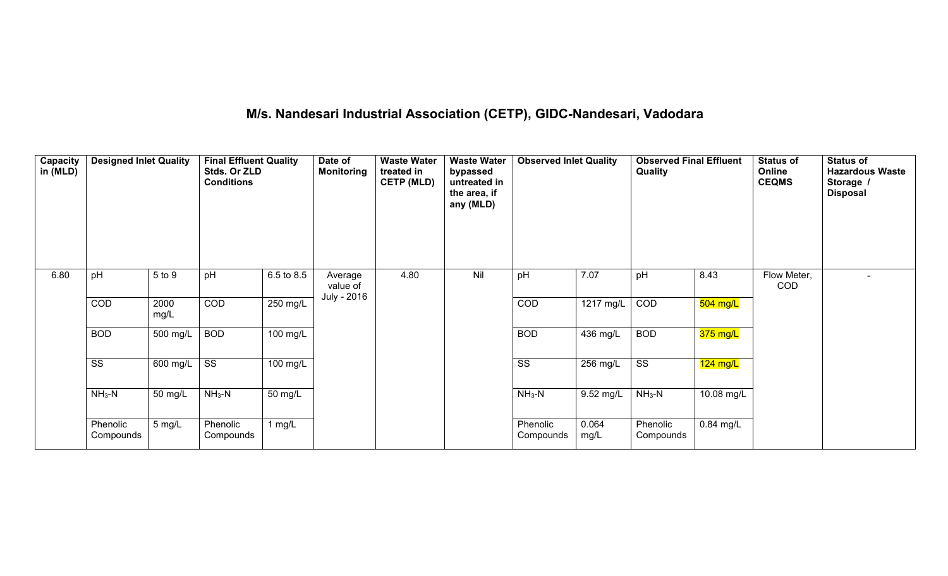# **M/s. Nandesari Industrial Association (CETP), GIDC-Nandesari, Vadodara**

| Capacity<br>in (MLD) | <b>Designed Inlet Quality</b> |              | <b>Final Effluent Quality</b><br>Stds. Or ZLD<br><b>Conditions</b> |            | Date of<br><b>Monitoring</b> | <b>Waste Water</b><br>treated in<br><b>CETP (MLD)</b> | <b>Waste Water</b><br>bypassed<br>untreated in<br>the area, if<br>any (MLD) | <b>Observed Inlet Quality</b> |               | <b>Observed Final Effluent</b><br><b>Quality</b> |             | <b>Status of</b><br>Online<br><b>CEQMS</b> | <b>Status of</b><br><b>Hazardous Waste</b><br>Storage /<br><b>Disposal</b> |
|----------------------|-------------------------------|--------------|--------------------------------------------------------------------|------------|------------------------------|-------------------------------------------------------|-----------------------------------------------------------------------------|-------------------------------|---------------|--------------------------------------------------|-------------|--------------------------------------------|----------------------------------------------------------------------------|
| 6.80                 | pH                            | 5 to 9       | pH                                                                 | 6.5 to 8.5 | Average<br>value of          | 4.80                                                  | Nil                                                                         | pH                            | 7.07          | pH                                               | 8.43        | Flow Meter,<br><b>COD</b>                  |                                                                            |
|                      | COD                           | 2000<br>mg/L | $\overline{COD}$                                                   | 250 mg/L   | July - 2016                  |                                                       |                                                                             | COD                           | 1217 mg/L     | COD                                              | 504 mg/L    |                                            |                                                                            |
|                      | <b>BOD</b>                    | 500 mg/L     | <b>BOD</b>                                                         | $100$ mg/L |                              |                                                       |                                                                             | <b>BOD</b>                    | 436 mg/L      | <b>BOD</b>                                       | $375$ mg/L  |                                            |                                                                            |
|                      | SS                            | 600 mg/L     | $\overline{\text{ss}}$                                             | 100 mg/L   |                              |                                                       |                                                                             | SS                            | 256 mg/L      | $\overline{\text{ss}}$                           | $124$ mg/L  |                                            |                                                                            |
|                      | $NH3-N$                       | 50 mg/L      | $NH3-N$                                                            | 50 mg/L    |                              |                                                       |                                                                             | $NH3-N$                       | 9.52 mg/L     | $NH3-N$                                          | 10.08 mg/L  |                                            |                                                                            |
|                      | Phenolic<br>Compounds         | 5 mg/L       | Phenolic<br>Compounds                                              | 1 $mg/L$   |                              |                                                       |                                                                             | Phenolic<br>Compounds         | 0.064<br>mg/L | Phenolic<br>Compounds                            | $0.84$ mg/L |                                            |                                                                            |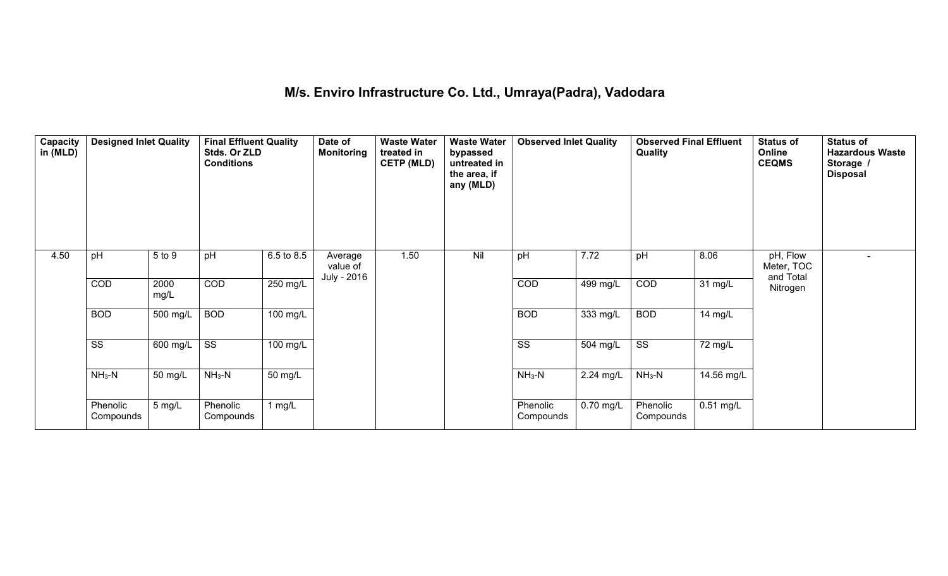### **M/s. Enviro Infrastructure Co. Ltd., Umraya(Padra), Vadodara**

| Capacity<br>in (MLD) | <b>Designed Inlet Quality</b> |              | <b>Final Effluent Quality</b><br>Stds. Or ZLD<br><b>Conditions</b> |            | Date of<br><b>Monitoring</b> | <b>Waste Water</b><br>treated in<br><b>CETP (MLD)</b> | <b>Waste Water</b><br>bypassed<br>untreated in<br>the area, if<br>any (MLD) | <b>Observed Inlet Quality</b> |           | <b>Observed Final Effluent</b><br><b>Quality</b> |             | <b>Status of</b><br>Online<br><b>CEQMS</b> | <b>Status of</b><br><b>Hazardous Waste</b><br>Storage /<br><b>Disposal</b> |
|----------------------|-------------------------------|--------------|--------------------------------------------------------------------|------------|------------------------------|-------------------------------------------------------|-----------------------------------------------------------------------------|-------------------------------|-----------|--------------------------------------------------|-------------|--------------------------------------------|----------------------------------------------------------------------------|
| 4.50                 | pH                            | 5 to 9       | pH                                                                 | 6.5 to 8.5 | Average<br>value of          | 1.50                                                  | Nil                                                                         | pH                            | 7.72      | pH                                               | 8.06        | pH, Flow<br>Meter, TOC                     | $\overline{\phantom{0}}$                                                   |
|                      | COD                           | 2000<br>mg/L | <b>COD</b>                                                         | 250 mg/L   | July - 2016                  |                                                       |                                                                             | COD                           | 499 mg/L  | COD                                              | 31 mg/L     | and Total<br>Nitrogen                      |                                                                            |
|                      | <b>BOD</b>                    | 500 mg/L     | <b>BOD</b>                                                         | 100 mg/L   |                              |                                                       |                                                                             | <b>BOD</b>                    | 333 mg/L  | <b>BOD</b>                                       | 14 mg/L     |                                            |                                                                            |
|                      | $\overline{\text{SS}}$        | 600 mg/L     | $\overline{\text{ss}}$                                             | 100 mg/L   |                              |                                                       |                                                                             | $\overline{\text{ss}}$        | 504 mg/L  | $\overline{\text{ss}}$                           | 72 mg/L     |                                            |                                                                            |
|                      | $NH3-N$                       | 50 mg/L      | $NH3-N$                                                            | 50 mg/L    |                              |                                                       |                                                                             | $NH3-N$                       | 2.24 mg/L | $NH3-N$                                          | 14.56 mg/L  |                                            |                                                                            |
|                      | Phenolic<br>Compounds         | 5 mg/L       | Phenolic<br>Compounds                                              | 1 $mg/L$   |                              |                                                       |                                                                             | Phenolic<br>Compounds         | 0.70 mg/L | Phenolic<br>Compounds                            | $0.51$ mg/L |                                            |                                                                            |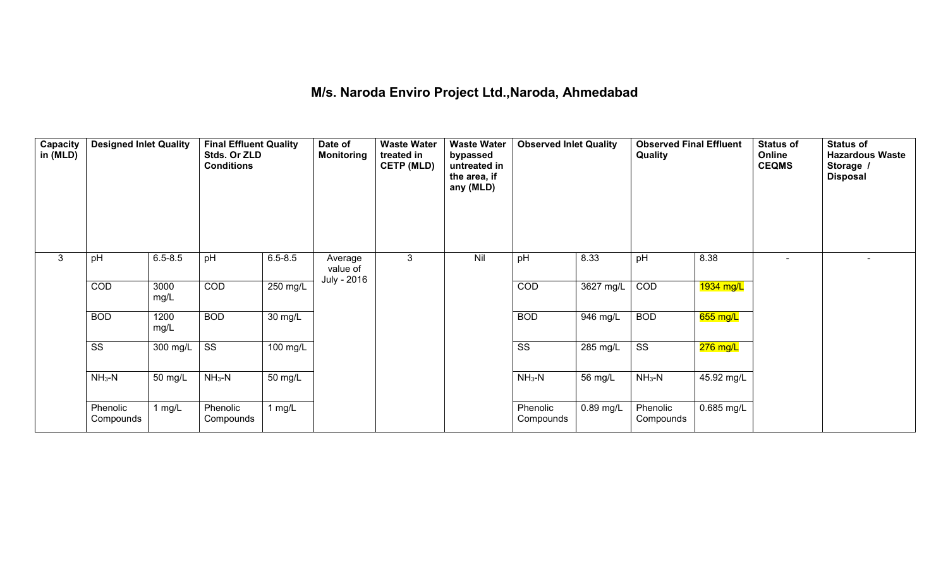### **M/s. Naroda Enviro Project Ltd.,Naroda, Ahmedabad**

| Capacity<br>in (MLD) | <b>Designed Inlet Quality</b> |              | <b>Final Effluent Quality</b><br>Stds. Or ZLD<br><b>Conditions</b> |             | Date of<br><b>Monitoring</b> | <b>Waste Water</b><br>treated in<br><b>CETP (MLD)</b> | <b>Waste Water</b><br>bypassed<br>untreated in<br>the area, if<br>any (MLD) | <b>Observed Inlet Quality</b> |           | <b>Observed Final Effluent</b><br>Quality |            | <b>Status of</b><br>Online<br><b>CEQMS</b> | <b>Status of</b><br><b>Hazardous Waste</b><br>Storage /<br><b>Disposal</b> |
|----------------------|-------------------------------|--------------|--------------------------------------------------------------------|-------------|------------------------------|-------------------------------------------------------|-----------------------------------------------------------------------------|-------------------------------|-----------|-------------------------------------------|------------|--------------------------------------------|----------------------------------------------------------------------------|
| 3                    | pH                            | $6.5 - 8.5$  | pH                                                                 | $6.5 - 8.5$ | Average<br>value of          | 3                                                     | Nil                                                                         | pH                            | 8.33      | pH                                        | 8.38       |                                            |                                                                            |
|                      | <b>COD</b>                    | 3000<br>mg/L | <b>COD</b>                                                         | 250 mg/L    | July - 2016                  |                                                       |                                                                             | COD                           | 3627 mg/L | <b>COD</b>                                | 1934 mg/L  |                                            |                                                                            |
|                      | <b>BOD</b>                    | 1200<br>mg/L | <b>BOD</b>                                                         | 30 mg/L     |                              |                                                       |                                                                             | <b>BOD</b>                    | 946 mg/L  | <b>BOD</b>                                | 655 mg/L   |                                            |                                                                            |
|                      | SS                            | 300 mg/L     | $\overline{\text{ss}}$                                             | 100 mg/L    |                              |                                                       |                                                                             | SS                            | 285 mg/L  | $\overline{\text{ss}}$                    | $276$ mg/L |                                            |                                                                            |
|                      | $NH3-N$                       | 50 mg/L      | $NH3-N$                                                            | 50 mg/L     |                              |                                                       |                                                                             | $NH3-N$                       | 56 mg/L   | $NH3-N$                                   | 45.92 mg/L |                                            |                                                                            |
|                      | Phenolic<br>Compounds         | 1 mg/L       | Phenolic<br>Compounds                                              | 1 $mg/L$    |                              |                                                       |                                                                             | Phenolic<br>Compounds         | 0.89 mg/L | Phenolic<br>Compounds                     | 0.685 mg/L |                                            |                                                                            |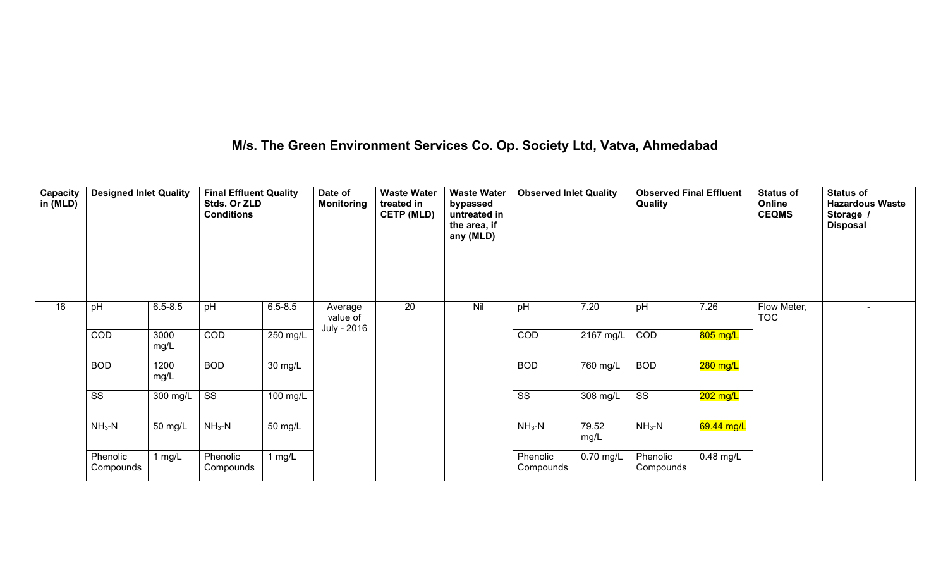### **M/s. The Green Environment Services Co. Op. Society Ltd, Vatva, Ahmedabad**

| Capacity<br>in (MLD) | <b>Designed Inlet Quality</b> |              | <b>Final Effluent Quality</b><br>Stds. Or ZLD<br><b>Conditions</b> |             | Date of<br><b>Monitoring</b> | <b>Waste Water</b><br>treated in<br><b>CETP (MLD)</b> | <b>Waste Water</b><br>bypassed<br>untreated in<br>the area, if<br>any (MLD) | <b>Observed Inlet Quality</b> |                     | <b>Observed Final Effluent</b><br>Quality |             | <b>Status of</b><br>Online<br><b>CEQMS</b> | <b>Status of</b><br><b>Hazardous Waste</b><br>Storage /<br><b>Disposal</b> |
|----------------------|-------------------------------|--------------|--------------------------------------------------------------------|-------------|------------------------------|-------------------------------------------------------|-----------------------------------------------------------------------------|-------------------------------|---------------------|-------------------------------------------|-------------|--------------------------------------------|----------------------------------------------------------------------------|
| 16                   | pH                            | $6.5 - 8.5$  | pH                                                                 | $6.5 - 8.5$ | Average<br>value of          | 20                                                    | Nil                                                                         | pH                            | 7.20                | pH                                        | 7.26        | Flow Meter,<br><b>TOC</b>                  | $\overline{\phantom{a}}$                                                   |
|                      | <b>COD</b>                    | 3000<br>mg/L | $\overline{COD}$                                                   | 250 mg/L    | July - 2016                  |                                                       |                                                                             | <b>COD</b>                    | $2167 \text{ mg/L}$ | <b>COD</b>                                | 805 mg/L    |                                            |                                                                            |
|                      | <b>BOD</b>                    | 1200<br>mg/L | <b>BOD</b>                                                         | 30 mg/L     |                              |                                                       |                                                                             | <b>BOD</b>                    | 760 mg/L            | <b>BOD</b>                                | 280 mg/L    |                                            |                                                                            |
|                      | $\overline{\text{ss}}$        | 300 mg/L     | $\overline{\text{ss}}$                                             | 100 mg/L    |                              |                                                       |                                                                             | $\overline{\text{ss}}$        | 308 mg/L            | $\overline{\text{ss}}$                    | 202 mg/L    |                                            |                                                                            |
|                      | $NH3-N$                       | 50 mg/L      | $NH3-N$                                                            | 50 mg/L     |                              |                                                       |                                                                             | $NH3-N$                       | 79.52<br>mg/L       | $NH3-N$                                   | 69.44 mg/L  |                                            |                                                                            |
|                      | Phenolic<br>Compounds         | 1 $mg/L$     | Phenolic<br>Compounds                                              | 1 $mg/L$    |                              |                                                       |                                                                             | Phenolic<br>Compounds         | $0.70$ mg/L         | Phenolic<br>Compounds                     | $0.48$ mg/L |                                            |                                                                            |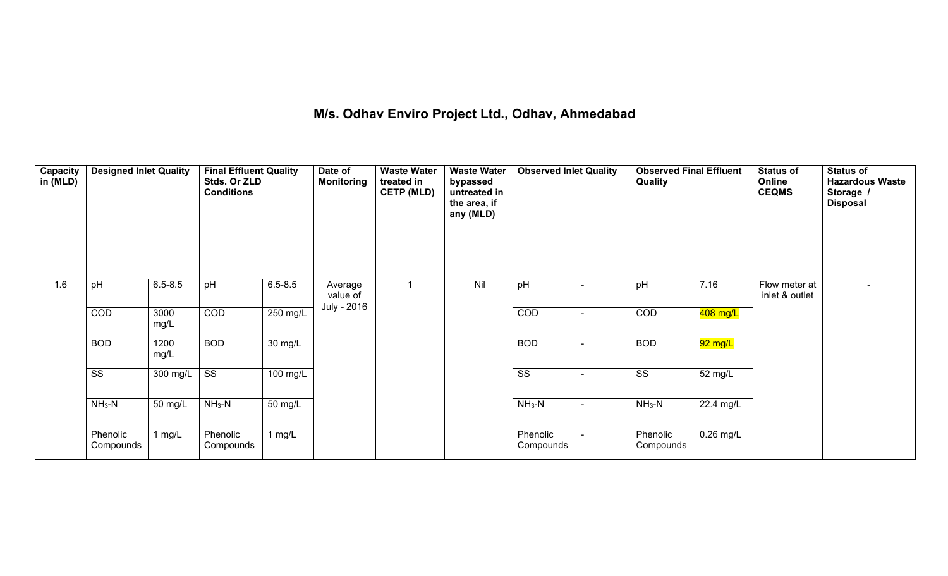# **M/s. Odhav Enviro Project Ltd., Odhav, Ahmedabad**

| Capacity<br>in (MLD) | <b>Designed Inlet Quality</b> |              | <b>Final Effluent Quality</b><br>Stds. Or ZLD<br><b>Conditions</b> |             | Date of<br><b>Monitoring</b> | <b>Waste Water</b><br>treated in<br><b>CETP (MLD)</b> | <b>Waste Water</b><br>bypassed<br>untreated in<br>the area, if<br>any (MLD) | <b>Observed Inlet Quality</b> |                          | <b>Observed Final Effluent</b><br>Quality |             | <b>Status of</b><br>Online<br><b>CEQMS</b> | <b>Status of</b><br><b>Hazardous Waste</b><br>Storage /<br><b>Disposal</b> |
|----------------------|-------------------------------|--------------|--------------------------------------------------------------------|-------------|------------------------------|-------------------------------------------------------|-----------------------------------------------------------------------------|-------------------------------|--------------------------|-------------------------------------------|-------------|--------------------------------------------|----------------------------------------------------------------------------|
| 1.6                  | pH                            | $6.5 - 8.5$  | pH                                                                 | $6.5 - 8.5$ | Average<br>value of          |                                                       | Nil                                                                         | pH                            | $\overline{\phantom{a}}$ | pH                                        | 7.16        | Flow meter at<br>inlet & outlet            |                                                                            |
|                      | <b>COD</b>                    | 3000<br>mg/L | COD                                                                | 250 mg/L    | July - 2016                  |                                                       |                                                                             | <b>COD</b>                    | $\overline{\phantom{a}}$ | <b>COD</b>                                | 408 mg/L    |                                            |                                                                            |
|                      | <b>BOD</b>                    | 1200<br>mg/L | <b>BOD</b>                                                         | 30 mg/L     |                              |                                                       |                                                                             | <b>BOD</b>                    | $\overline{\phantom{a}}$ | <b>BOD</b>                                | 92 mg/L     |                                            |                                                                            |
|                      | SS                            | 300 mg/L     | SS                                                                 | 100 mg/L    |                              |                                                       |                                                                             | SS                            | $\overline{\phantom{0}}$ | SS                                        | 52 mg/L     |                                            |                                                                            |
|                      | $NH_3-N$                      | 50 mg/L      | $NH_3-N$                                                           | 50 mg/L     |                              |                                                       |                                                                             | $NH3-N$                       | $\sim$                   | $NH3-N$                                   | 22.4 mg/L   |                                            |                                                                            |
|                      | Phenolic<br>Compounds         | 1 $mg/L$     | Phenolic<br>Compounds                                              | 1 $mg/L$    |                              |                                                       |                                                                             | Phenolic<br>Compounds         |                          | Phenolic<br>Compounds                     | $0.26$ mg/L |                                            |                                                                            |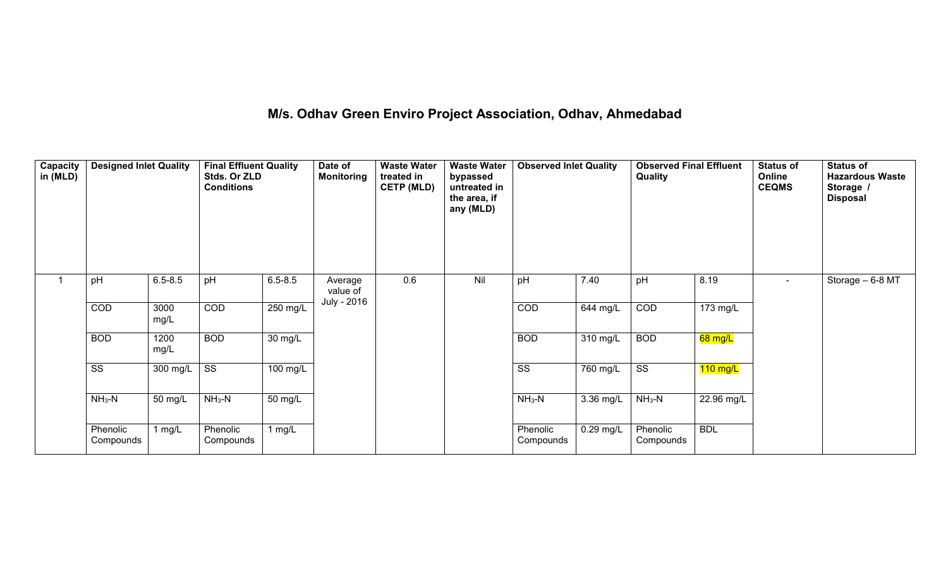# **M/s. Odhav Green Enviro Project Association, Odhav, Ahmedabad**

| Capacity<br>in (MLD) | <b>Designed Inlet Quality</b> |              | <b>Final Effluent Quality</b><br>Stds. Or ZLD<br><b>Conditions</b> |                   | Date of<br><b>Monitoring</b> | <b>Waste Water</b><br>treated in<br><b>CETP (MLD)</b> | <b>Waste Water</b><br>bypassed<br>untreated in<br>the area, if<br>any (MLD) | <b>Observed Inlet Quality</b> |             | <b>Observed Final Effluent</b><br>Quality |            | <b>Status of</b><br>Online<br><b>CEQMS</b> | <b>Status of</b><br><b>Hazardous Waste</b><br>Storage /<br><b>Disposal</b> |
|----------------------|-------------------------------|--------------|--------------------------------------------------------------------|-------------------|------------------------------|-------------------------------------------------------|-----------------------------------------------------------------------------|-------------------------------|-------------|-------------------------------------------|------------|--------------------------------------------|----------------------------------------------------------------------------|
|                      | pH                            | $6.5 - 8.5$  | pH                                                                 | $6.5 - 8.5$       | Average<br>value of          | 0.6                                                   | Nil                                                                         | pH                            | 7.40        | pH                                        | 8.19       | $\sim$                                     | Storage - 6-8 MT                                                           |
|                      | <b>COD</b>                    | 3000<br>mg/L | COD                                                                | 250 mg/L          | July - 2016                  |                                                       |                                                                             | <b>COD</b>                    | 644 mg/L    | <b>COD</b>                                | 173 mg/L   |                                            |                                                                            |
|                      | <b>BOD</b>                    | 1200<br>mg/L | <b>BOD</b>                                                         | $30 \text{ mg/L}$ |                              |                                                       |                                                                             | <b>BOD</b>                    | 310 mg/L    | <b>BOD</b>                                | 68 mg/L    |                                            |                                                                            |
|                      | SS                            | 300 mg/L     | SS                                                                 | 100 mg/L          |                              |                                                       |                                                                             | SS                            | 760 mg/L    | $\overline{\text{ss}}$                    | $110$ mg/L |                                            |                                                                            |
|                      | $NH3-N$                       | 50 mg/L      | $NH3-N$                                                            | 50 mg/L           |                              |                                                       |                                                                             | $NH3-N$                       | $3.36$ mg/L | $NH3-N$                                   | 22.96 mg/L |                                            |                                                                            |
|                      | Phenolic<br>Compounds         | 1 $mg/L$     | Phenolic<br>Compounds                                              | 1 $mg/L$          |                              |                                                       |                                                                             | Phenolic<br>Compounds         | 0.29 mg/L   | Phenolic<br>Compounds                     | <b>BDL</b> |                                            |                                                                            |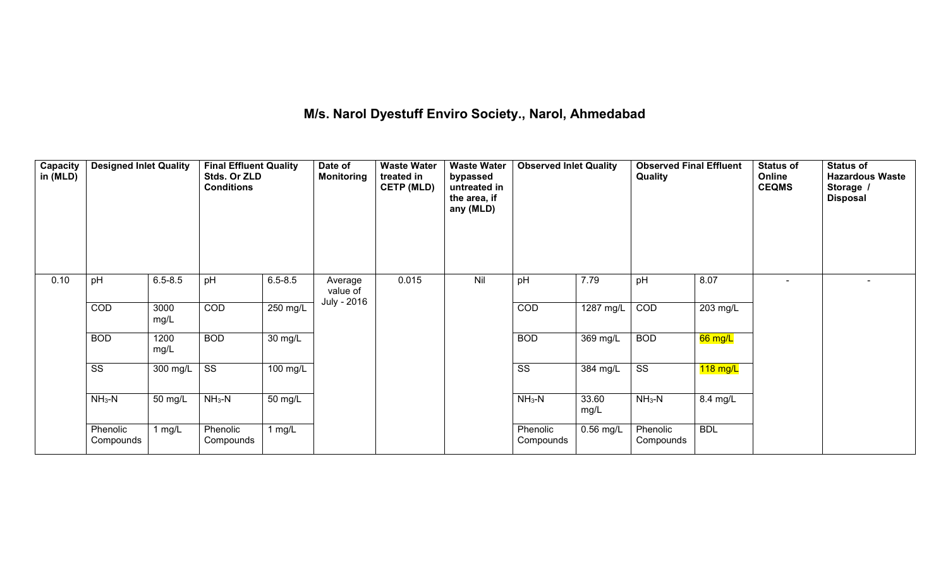# **M/s. Narol Dyestuff Enviro Society., Narol, Ahmedabad**

| <b>Capacity</b><br>in (MLD) | <b>Designed Inlet Quality</b> |              | <b>Final Effluent Quality</b><br>Stds. Or ZLD<br><b>Conditions</b> |             | Date of<br><b>Monitoring</b> | <b>Waste Water</b><br>treated in<br><b>CETP (MLD)</b> | <b>Waste Water</b><br>bypassed<br>untreated in<br>the area, if<br>any (MLD) | <b>Observed Inlet Quality</b> |               | <b>Observed Final Effluent</b><br>Quality |                    | <b>Status of</b><br>Online<br><b>CEQMS</b> | <b>Status of</b><br><b>Hazardous Waste</b><br>Storage /<br><b>Disposal</b> |
|-----------------------------|-------------------------------|--------------|--------------------------------------------------------------------|-------------|------------------------------|-------------------------------------------------------|-----------------------------------------------------------------------------|-------------------------------|---------------|-------------------------------------------|--------------------|--------------------------------------------|----------------------------------------------------------------------------|
| 0.10                        | pH                            | $6.5 - 8.5$  | pH                                                                 | $6.5 - 8.5$ | Average<br>value of          | 0.015                                                 | Nil                                                                         | pH                            | 7.79          | pH                                        | 8.07               |                                            |                                                                            |
|                             | <b>COD</b>                    | 3000<br>mg/L | $\overline{COD}$                                                   | 250 mg/L    | July - 2016                  |                                                       |                                                                             | <b>COD</b>                    | 1287 mg/L     | <b>COD</b>                                | $203 \text{ mg/L}$ |                                            |                                                                            |
|                             | <b>BOD</b>                    | 1200<br>mg/L | <b>BOD</b>                                                         | 30 mg/L     |                              |                                                       |                                                                             | <b>BOD</b>                    | 369 mg/L      | <b>BOD</b>                                | 66 mg/L            |                                            |                                                                            |
|                             | SS                            | 300 mg/L     | $\overline{\text{ss}}$                                             | 100 mg/L    |                              |                                                       |                                                                             | $\overline{\text{ss}}$        | 384 mg/L      | $\overline{\text{ss}}$                    | $118$ mg/L         |                                            |                                                                            |
|                             | $NH3-N$                       | 50 mg/L      | $NH3-N$                                                            | 50 mg/L     |                              |                                                       |                                                                             | $NH3-N$                       | 33.60<br>mg/L | $NH3-N$                                   | 8.4 mg/L           |                                            |                                                                            |
|                             | Phenolic<br>Compounds         | 1 $mg/L$     | Phenolic<br>Compounds                                              | 1 $mg/L$    |                              |                                                       |                                                                             | Phenolic<br>Compounds         | 0.56 mg/L     | Phenolic<br>Compounds                     | <b>BDL</b>         |                                            |                                                                            |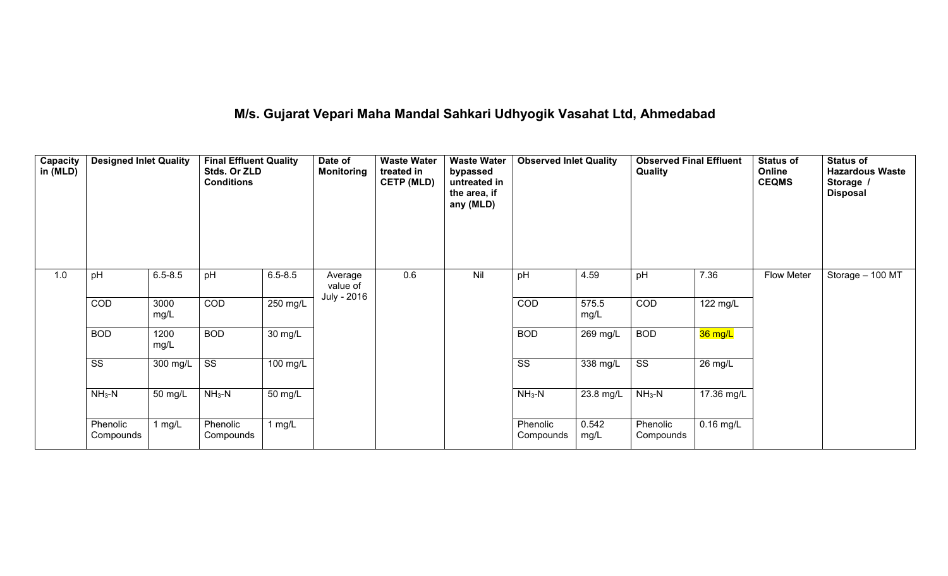# **M/s. Gujarat Vepari Maha Mandal Sahkari Udhyogik Vasahat Ltd, Ahmedabad**

| Capacity<br>in (MLD) | <b>Designed Inlet Quality</b> |              | <b>Final Effluent Quality</b><br>Stds. Or ZLD<br><b>Conditions</b> |             | Date of<br><b>Monitoring</b> | <b>Waste Water</b><br>treated in<br><b>CETP (MLD)</b> | <b>Waste Water</b><br>bypassed<br>untreated in<br>the area, if<br>any (MLD) | <b>Observed Inlet Quality</b> |               | <b>Observed Final Effluent</b><br>Quality |             | <b>Status of</b><br>Online<br><b>CEQMS</b> | <b>Status of</b><br><b>Hazardous Waste</b><br>Storage /<br><b>Disposal</b> |
|----------------------|-------------------------------|--------------|--------------------------------------------------------------------|-------------|------------------------------|-------------------------------------------------------|-----------------------------------------------------------------------------|-------------------------------|---------------|-------------------------------------------|-------------|--------------------------------------------|----------------------------------------------------------------------------|
| 1.0                  | pH                            | $6.5 - 8.5$  | pH                                                                 | $6.5 - 8.5$ | Average<br>value of          | 0.6                                                   | Nil                                                                         | pH                            | 4.59          | pH                                        | 7.36        | Flow Meter                                 | Storage - 100 MT                                                           |
|                      | COD                           | 3000<br>mg/L | $\overline{COD}$                                                   | 250 mg/L    | July - 2016                  |                                                       |                                                                             | COD                           | 575.5<br>mg/L | <b>COD</b>                                | 122 mg/L    |                                            |                                                                            |
|                      | <b>BOD</b>                    | 1200<br>mg/L | <b>BOD</b>                                                         | 30 mg/L     |                              |                                                       |                                                                             | <b>BOD</b>                    | 269 mg/L      | <b>BOD</b>                                | 36 mg/L     |                                            |                                                                            |
|                      | SS                            | 300 mg/L     | $\overline{\text{ss}}$                                             | 100 mg/L    |                              |                                                       |                                                                             | $\overline{\text{ss}}$        | 338 mg/L      | $\overline{\text{SS}}$                    | 26 mg/L     |                                            |                                                                            |
|                      | $NH3-N$                       | 50 mg/L      | $NH3-N$                                                            | 50 mg/L     |                              |                                                       |                                                                             | $NH3-N$                       | 23.8 mg/L     | $NH3-N$                                   | 17.36 mg/L  |                                            |                                                                            |
|                      | Phenolic<br>Compounds         | 1 $mg/L$     | Phenolic<br>Compounds                                              | 1 mg/L      |                              |                                                       |                                                                             | Phenolic<br>Compounds         | 0.542<br>mg/L | Phenolic<br>Compounds                     | $0.16$ mg/L |                                            |                                                                            |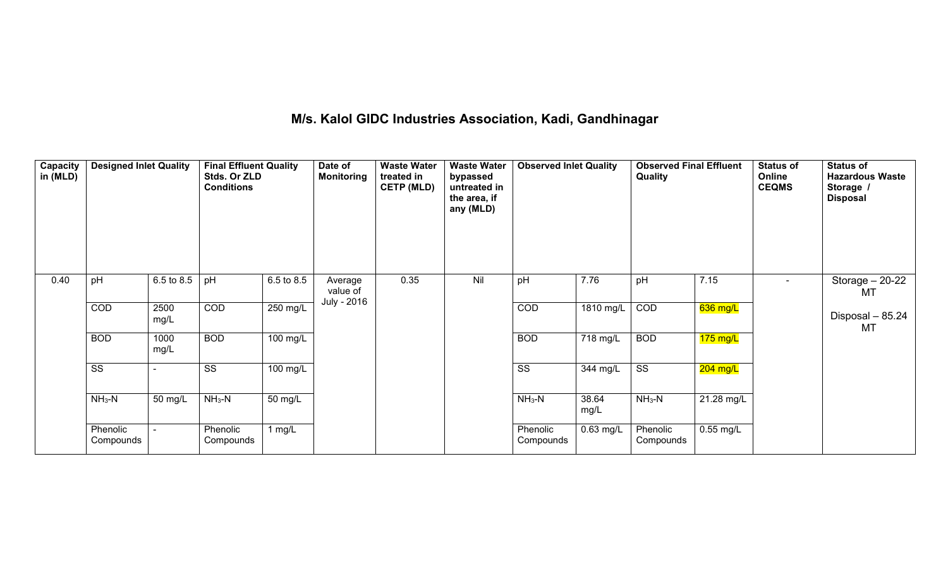#### **M/s. Kalol GIDC Industries Association, Kadi, Gandhinagar**

| <b>Capacity</b><br>in (MLD) | <b>Designed Inlet Quality</b> |              | <b>Final Effluent Quality</b><br>Stds. Or ZLD<br><b>Conditions</b> |            | Date of<br><b>Monitoring</b> | <b>Waste Water</b><br>treated in<br><b>CETP (MLD)</b> | <b>Waste Water</b><br>bypassed<br>untreated in<br>the area, if<br>any (MLD) | <b>Observed Inlet Quality</b> |               | <b>Observed Final Effluent</b><br>Quality |             | <b>Status of</b><br>Online<br><b>CEQMS</b> | <b>Status of</b><br><b>Hazardous Waste</b><br>Storage /<br><b>Disposal</b> |
|-----------------------------|-------------------------------|--------------|--------------------------------------------------------------------|------------|------------------------------|-------------------------------------------------------|-----------------------------------------------------------------------------|-------------------------------|---------------|-------------------------------------------|-------------|--------------------------------------------|----------------------------------------------------------------------------|
| 0.40                        | pH                            | 6.5 to 8.5   | pH                                                                 | 6.5 to 8.5 | Average<br>value of          | 0.35                                                  | Nil                                                                         | pH                            | 7.76          | pH                                        | 7.15        | $\sim$                                     | Storage $-20-22$<br>MT                                                     |
|                             | <b>COD</b>                    | 2500<br>mg/L | $\overline{COD}$                                                   | 250 mg/L   | July - 2016                  |                                                       |                                                                             | <b>COD</b>                    | 1810 mg/L     | <b>COD</b>                                | 636 mg/L    |                                            | Disposal - 85.24<br><b>MT</b>                                              |
|                             | <b>BOD</b>                    | 1000<br>mg/L | <b>BOD</b>                                                         | 100 mg/L   |                              |                                                       |                                                                             | <b>BOD</b>                    | 718 mg/L      | <b>BOD</b>                                | $175$ mg/L  |                                            |                                                                            |
|                             | $\overline{\text{ss}}$        | $\sim$       | SS                                                                 | 100 mg/L   |                              |                                                       |                                                                             | SS                            | 344 mg/L      | SS                                        | 204 mg/L    |                                            |                                                                            |
|                             | $NH3-N$                       | 50 mg/L      | $NH3-N$                                                            | 50 mg/L    |                              |                                                       |                                                                             | $NH3-N$                       | 38.64<br>mg/L | $NH3-N$                                   | 21.28 mg/L  |                                            |                                                                            |
|                             | Phenolic<br>Compounds         |              | Phenolic<br>Compounds                                              | 1 $mg/L$   |                              |                                                       |                                                                             | Phenolic<br>Compounds         | $0.63$ mg/L   | Phenolic<br>Compounds                     | $0.55$ mg/L |                                            |                                                                            |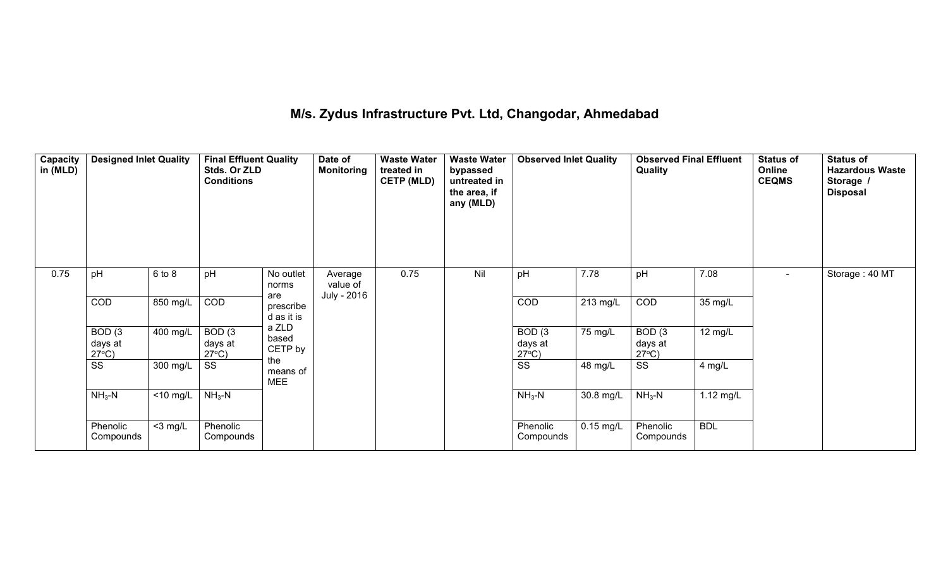# **M/s. Zydus Infrastructure Pvt. Ltd, Changodar, Ahmedabad**

| Capacity<br>in (MLD) | <b>Designed Inlet Quality</b>        |             | <b>Final Effluent Quality</b><br>Stds. Or ZLD<br><b>Conditions</b> |                                | Date of<br><b>Monitoring</b> | <b>Waste Water</b><br>treated in<br><b>CETP (MLD)</b> | <b>Waste Water</b><br>bypassed<br>untreated in<br>the area, if<br>any (MLD) | <b>Observed Inlet Quality</b>        |             | <b>Observed Final Effluent</b><br>Quality |             | <b>Status of</b><br>Online<br><b>CEQMS</b> | <b>Status of</b><br><b>Hazardous Waste</b><br>Storage /<br><b>Disposal</b> |
|----------------------|--------------------------------------|-------------|--------------------------------------------------------------------|--------------------------------|------------------------------|-------------------------------------------------------|-----------------------------------------------------------------------------|--------------------------------------|-------------|-------------------------------------------|-------------|--------------------------------------------|----------------------------------------------------------------------------|
| 0.75                 | pH                                   | 6 to 8      | pH                                                                 | No outlet<br>norms             | Average<br>value of          | 0.75                                                  | Nil                                                                         | pH                                   | 7.78        | pH                                        | 7.08        | $\sim$                                     | Storage: 40 MT                                                             |
|                      | COD                                  | 850 mg/L    | COD                                                                | are<br>prescribe<br>d as it is | July - 2016                  |                                                       |                                                                             | COD                                  | 213 mg/L    | COD                                       | 35 mg/L     |                                            |                                                                            |
|                      | BOD(3)<br>days at<br>$27^{\circ}C$ ) | $400$ mg/L  | BOD(3)<br>days at<br>$27^{\circ}$ C)                               | a ZLD<br>based<br>CETP by      |                              |                                                       |                                                                             | BOD(3)<br>days at<br>$27^{\circ}C$ ) | 75 mg/L     | BOD(3)<br>days at<br>$27^{\circ}$ C)      | 12 mg/L     |                                            |                                                                            |
|                      | SS                                   | 300 mg/L    | SS                                                                 | the<br>means of<br><b>MEE</b>  |                              |                                                       |                                                                             | SS                                   | 48 mg/L     | SS                                        | 4 mg/L      |                                            |                                                                            |
|                      | $NH3-N$                              | $<$ 10 mg/L | $NH_3-N$                                                           |                                |                              |                                                       |                                                                             | $NH3-N$                              | 30.8 mg/L   | $NH_3-N$                                  | $1.12$ mg/L |                                            |                                                                            |
|                      | Phenolic<br>Compounds                | $<$ 3 mg/L  | Phenolic<br>Compounds                                              |                                |                              |                                                       |                                                                             | Phenolic<br>Compounds                | $0.15$ mg/L | Phenolic<br>Compounds                     | <b>BDL</b>  |                                            |                                                                            |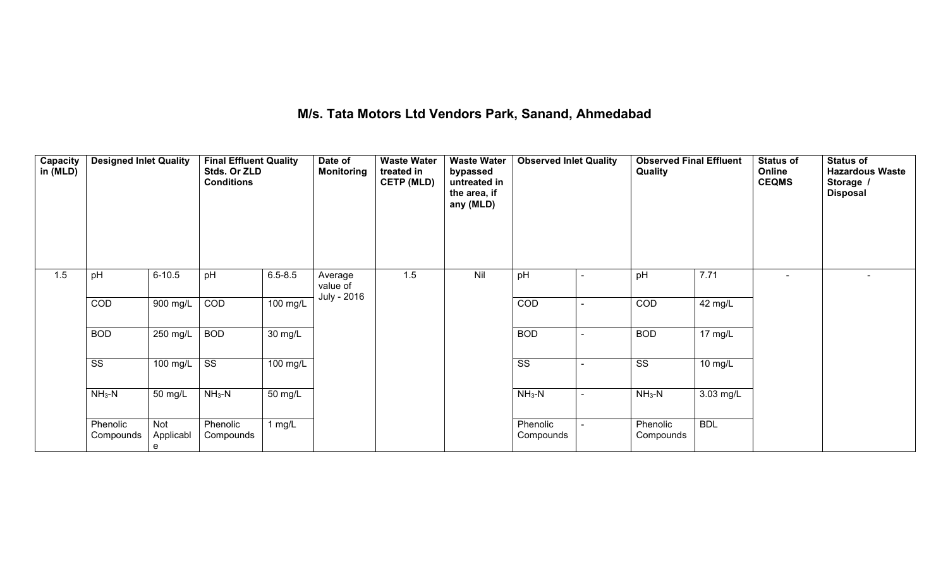### **M/s. Tata Motors Ltd Vendors Park, Sanand, Ahmedabad**

| Capacity<br>in (MLD) | <b>Designed Inlet Quality</b> |                       | <b>Final Effluent Quality</b><br>Stds. Or ZLD<br><b>Conditions</b> |             | Date of<br><b>Monitoring</b> | <b>Waste Water</b><br>treated in<br><b>CETP (MLD)</b> | <b>Waste Water</b><br>bypassed<br>untreated in<br>the area, if<br>any (MLD) | <b>Observed Inlet Quality</b> |                          | <b>Observed Final Effluent</b><br>Quality |             | <b>Status of</b><br>Online<br><b>CEQMS</b> | <b>Status of</b><br><b>Hazardous Waste</b><br>Storage /<br><b>Disposal</b> |
|----------------------|-------------------------------|-----------------------|--------------------------------------------------------------------|-------------|------------------------------|-------------------------------------------------------|-----------------------------------------------------------------------------|-------------------------------|--------------------------|-------------------------------------------|-------------|--------------------------------------------|----------------------------------------------------------------------------|
| 1.5                  | pH                            | $6 - 10.5$            | pH                                                                 | $6.5 - 8.5$ | Average<br>value of          | 1.5                                                   | Nil                                                                         | pH                            | $\overline{\phantom{a}}$ | pH                                        | 7.71        | $\overline{\phantom{a}}$                   | $\overline{\phantom{a}}$                                                   |
|                      | COD                           | 900 mg/L              | $\overline{COD}$                                                   | 100 mg/L    | July - 2016                  |                                                       |                                                                             | $\overline{COD}$              | $\overline{\phantom{0}}$ | <b>COD</b>                                | 42 mg/L     |                                            |                                                                            |
|                      | <b>BOD</b>                    | 250 mg/L              | <b>BOD</b>                                                         | 30 mg/L     |                              |                                                       |                                                                             | <b>BOD</b>                    | $\overline{\phantom{a}}$ | <b>BOD</b>                                | 17 mg/L     |                                            |                                                                            |
|                      | SS                            | $100$ mg/L            | $\overline{\text{ss}}$                                             | 100 mg/L    |                              |                                                       |                                                                             | SS                            |                          | SS                                        | 10 mg/L     |                                            |                                                                            |
|                      | $NH3-N$                       | 50 mg/L               | $NH3-N$                                                            | 50 mg/L     |                              |                                                       |                                                                             | $NH3-N$                       | $\sim$                   | $NH3-N$                                   | $3.03$ mg/L |                                            |                                                                            |
|                      | Phenolic<br>Compounds         | Not<br>Applicabl<br>e | Phenolic<br>Compounds                                              | 1 $mg/L$    |                              |                                                       |                                                                             | Phenolic<br>Compounds         |                          | Phenolic<br>Compounds                     | <b>BDL</b>  |                                            |                                                                            |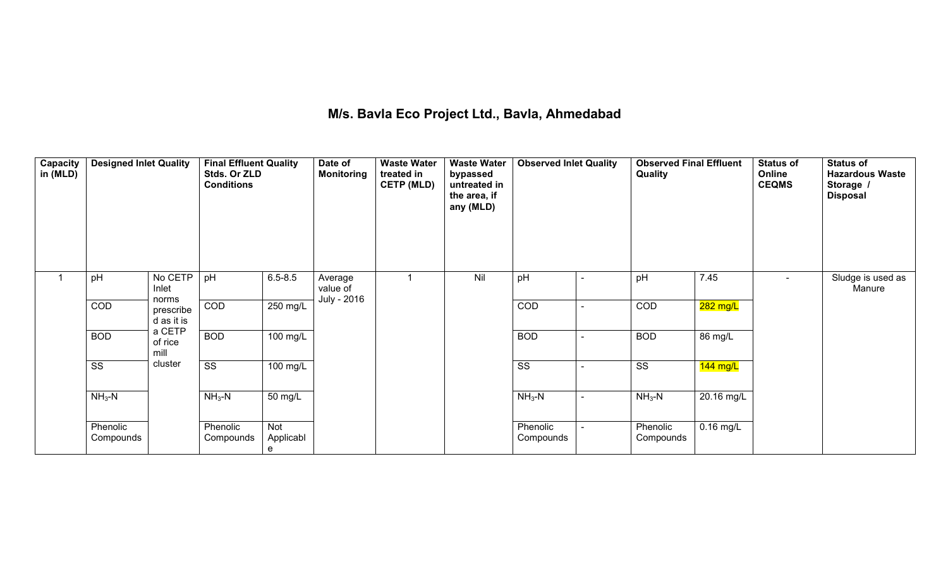# **M/s. Bavla Eco Project Ltd., Bavla, Ahmedabad**

| Capacity<br>in (MLD) | <b>Designed Inlet Quality</b> |                                  | <b>Final Effluent Quality</b><br>Stds. Or ZLD<br><b>Conditions</b> |                       | Date of<br><b>Monitoring</b> | <b>Waste Water</b><br>treated in<br><b>CETP (MLD)</b> | <b>Waste Water</b><br>bypassed<br>untreated in<br>the area, if<br>any (MLD) | <b>Observed Inlet Quality</b> |                          | <b>Observed Final Effluent</b><br>Quality |                       | <b>Status of</b><br>Online<br><b>CEQMS</b> | <b>Status of</b><br><b>Hazardous Waste</b><br>Storage /<br><b>Disposal</b> |
|----------------------|-------------------------------|----------------------------------|--------------------------------------------------------------------|-----------------------|------------------------------|-------------------------------------------------------|-----------------------------------------------------------------------------|-------------------------------|--------------------------|-------------------------------------------|-----------------------|--------------------------------------------|----------------------------------------------------------------------------|
|                      | pH                            | No CETP<br>Inlet                 | pH                                                                 | $6.5 - 8.5$           | Average<br>value of          |                                                       | Nil                                                                         | pH                            | $\overline{\phantom{a}}$ | pH                                        | 7.45                  | $\sim$                                     | Sludge is used as<br>Manure                                                |
|                      | <b>COD</b>                    | norms<br>prescribe<br>d as it is | $\overline{COD}$                                                   | 250 mg/L              | July - 2016                  |                                                       |                                                                             | <b>COD</b>                    |                          | <b>COD</b>                                | 282 mg/L              |                                            |                                                                            |
|                      | <b>BOD</b>                    | a CETP<br>of rice<br>mill        | <b>BOD</b>                                                         | 100 mg/L              |                              |                                                       |                                                                             | <b>BOD</b>                    | $\overline{\phantom{a}}$ | <b>BOD</b>                                | 86 mg/L               |                                            |                                                                            |
|                      | $\overline{\text{ss}}$        | cluster                          | $\overline{\text{ss}}$                                             | 100 mg/L              |                              |                                                       |                                                                             | SS                            |                          | SS                                        | $\overline{144}$ mg/L |                                            |                                                                            |
|                      | $NH3-N$                       |                                  | $NH3-N$                                                            | 50 mg/L               |                              |                                                       |                                                                             | $NH3-N$                       | $\sim$                   | $NH3-N$                                   | 20.16 mg/L            |                                            |                                                                            |
|                      | Phenolic<br>Compounds         |                                  | Phenolic<br>Compounds                                              | Not<br>Applicabl<br>e |                              |                                                       |                                                                             | Phenolic<br>Compounds         |                          | Phenolic<br>Compounds                     | $0.16$ mg/L           |                                            |                                                                            |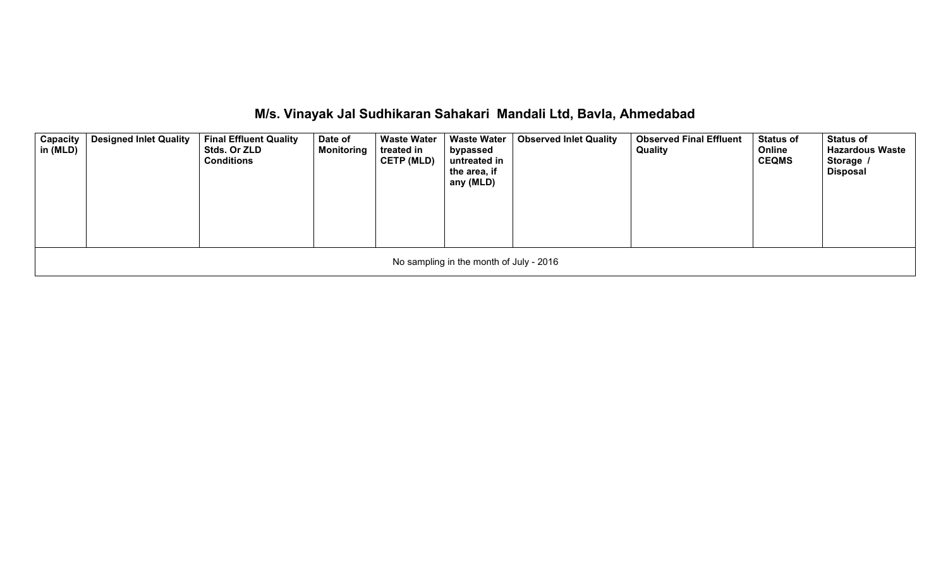|  | M/s. Vinayak Jal Sudhikaran Sahakari Mandali Ltd, Bavla, Ahmedabad |  |  |
|--|--------------------------------------------------------------------|--|--|
|  |                                                                    |  |  |

| <b>Capacity</b><br>in (MLD) | <b>Designed Inlet Quality</b> | <b>Final Effluent Quality</b><br>Stds. Or ZLD<br><b>Conditions</b> | Date of<br><b>Monitoring</b> | <b>Waste Water</b><br>treated in<br><b>CETP (MLD)</b> | <b>Waste Water</b><br>bypassed<br>untreated in<br>the area, if<br>any (MLD) | <b>Observed Inlet Quality</b> | <b>Observed Final Effluent</b><br>Quality | <b>Status of</b><br>Online<br><b>CEQMS</b> | <b>Status of</b><br><b>Hazardous Waste</b><br>Storage /<br><b>Disposal</b> |  |
|-----------------------------|-------------------------------|--------------------------------------------------------------------|------------------------------|-------------------------------------------------------|-----------------------------------------------------------------------------|-------------------------------|-------------------------------------------|--------------------------------------------|----------------------------------------------------------------------------|--|
|                             |                               |                                                                    |                              |                                                       | No sampling in the month of July - 2016                                     |                               |                                           |                                            |                                                                            |  |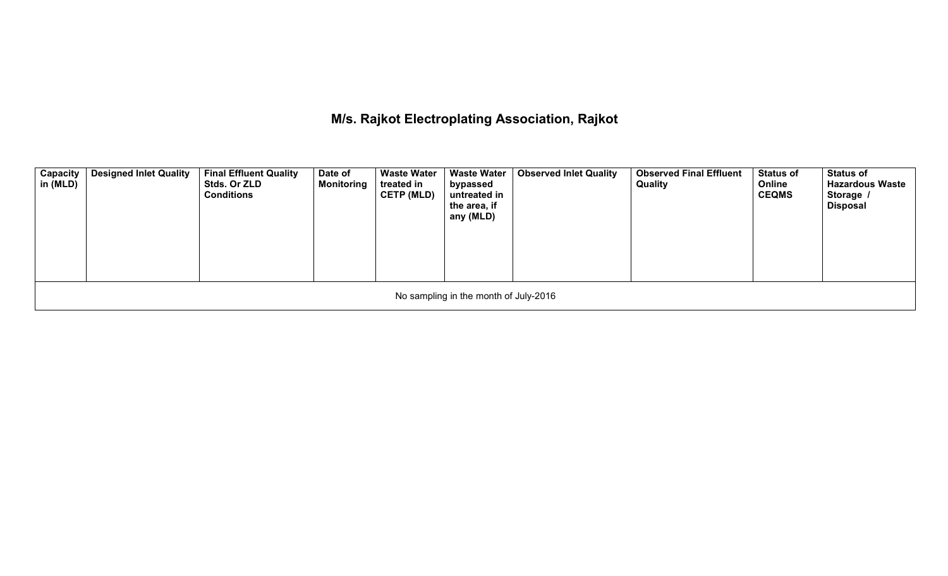### **M/s. Rajkot Electroplating Association, Rajkot**

| Capacity<br>in (MLD) | <b>Designed Inlet Quality</b> | <b>Final Effluent Quality</b><br>Stds. Or ZLD<br><b>Conditions</b> | Date of<br><b>Monitoring</b> | <b>Waste Water</b><br>treated in<br><b>CETP (MLD)</b> | <b>Waste Water</b><br>bypassed<br>untreated in<br>the area, if<br>any (MLD) | <b>Observed Inlet Quality</b> | <b>Observed Final Effluent</b><br>Quality | <b>Status of</b><br>Online<br><b>CEQMS</b> | <b>Status of</b><br><b>Hazardous Waste</b><br>Storage /<br><b>Disposal</b> |  |
|----------------------|-------------------------------|--------------------------------------------------------------------|------------------------------|-------------------------------------------------------|-----------------------------------------------------------------------------|-------------------------------|-------------------------------------------|--------------------------------------------|----------------------------------------------------------------------------|--|
|                      |                               |                                                                    |                              |                                                       | No sampling in the month of July-2016                                       |                               |                                           |                                            |                                                                            |  |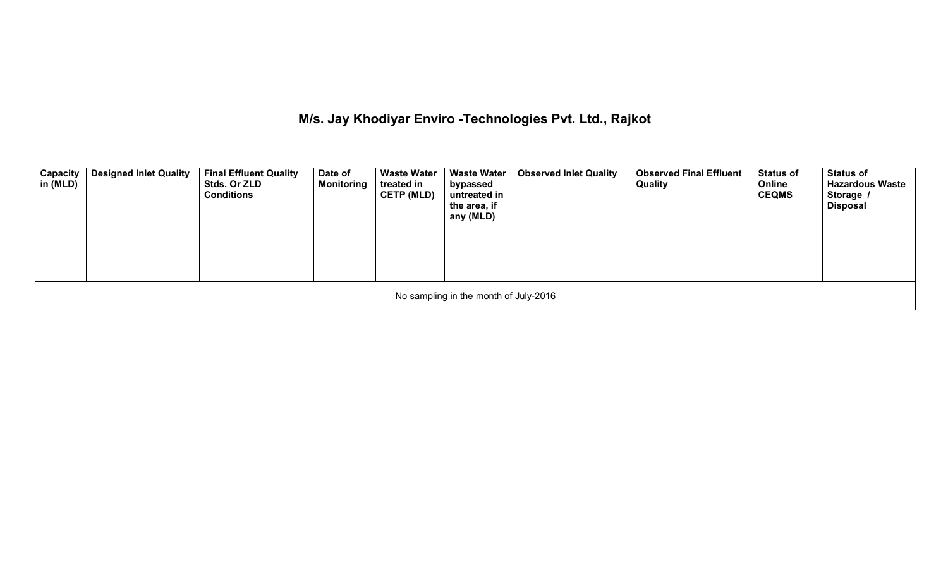**M/s. Jay Khodiyar Enviro -Technologies Pvt. Ltd., Rajkot**

| <b>Capacity</b><br>in (MLD) | <b>Designed Inlet Quality</b> | <b>Final Effluent Quality</b><br><b>Stds. Or ZLD</b><br><b>Conditions</b> | Date of<br><b>Monitoring</b> | <b>Waste Water</b><br>treated in<br><b>CETP (MLD)</b> | <b>Waste Water</b><br>bypassed<br>untreated in<br>the area, if<br>any (MLD) | <b>Observed Inlet Quality</b> | <b>Observed Final Effluent</b><br>Quality | <b>Status of</b><br>Online<br><b>CEQMS</b> | <b>Status of</b><br><b>Hazardous Waste</b><br>Storage /<br>Disposal |  |
|-----------------------------|-------------------------------|---------------------------------------------------------------------------|------------------------------|-------------------------------------------------------|-----------------------------------------------------------------------------|-------------------------------|-------------------------------------------|--------------------------------------------|---------------------------------------------------------------------|--|
|                             |                               |                                                                           |                              |                                                       | No sampling in the month of July-2016                                       |                               |                                           |                                            |                                                                     |  |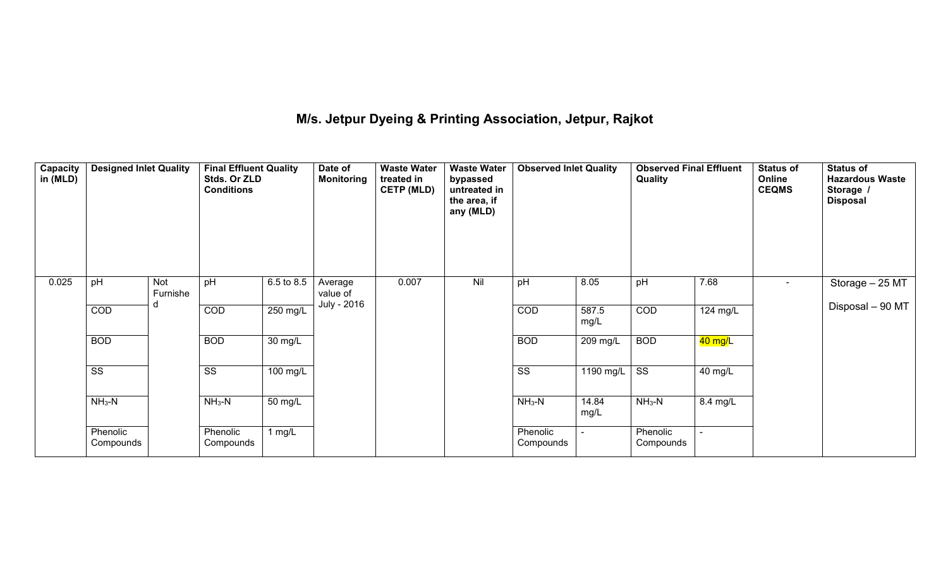### **M/s. Jetpur Dyeing & Printing Association, Jetpur, Rajkot**

| Capacity<br>in (MLD) | <b>Designed Inlet Quality</b> |                 | <b>Final Effluent Quality</b><br>Stds. Or ZLD<br><b>Conditions</b> |            | <b>Waste Water</b><br><b>Waste Water</b><br>Date of<br><b>Monitoring</b><br>treated in<br>bypassed<br><b>CETP (MLD)</b><br>untreated in<br>the area, if<br>any (MLD) |       | <b>Observed Inlet Quality</b> | <b>Observed Final Effluent</b><br>Quality |                          |                        | <b>Status of</b><br>Online<br><b>CEQMS</b> | <b>Status of</b><br><b>Hazardous Waste</b><br>Storage /<br><b>Disposal</b> |                  |
|----------------------|-------------------------------|-----------------|--------------------------------------------------------------------|------------|----------------------------------------------------------------------------------------------------------------------------------------------------------------------|-------|-------------------------------|-------------------------------------------|--------------------------|------------------------|--------------------------------------------|----------------------------------------------------------------------------|------------------|
| 0.025                | pH                            | Not<br>Furnishe | pH                                                                 | 6.5 to 8.5 | Average<br>value of                                                                                                                                                  | 0.007 | Nil                           | pH                                        | 8.05                     | pH                     | 7.68                                       | $\sim$                                                                     | Storage - 25 MT  |
|                      | <b>COD</b>                    |                 | <b>COD</b>                                                         | 250 mg/L   | July - 2016                                                                                                                                                          |       |                               | <b>COD</b>                                | 587.5<br>mg/L            | <b>COD</b>             | 124 mg/L                                   |                                                                            | Disposal - 90 MT |
|                      | <b>BOD</b>                    |                 | <b>BOD</b>                                                         | 30 mg/L    |                                                                                                                                                                      |       |                               | <b>BOD</b>                                | 209 mg/L                 | <b>BOD</b>             | 40 mg/L                                    |                                                                            |                  |
|                      | $\overline{\text{SS}}$        |                 | $\overline{\text{ss}}$                                             | 100 mg/L   |                                                                                                                                                                      |       |                               | $\overline{\text{SS}}$                    | $1190$ mg/L              | $\overline{\text{ss}}$ | 40 mg/L                                    |                                                                            |                  |
|                      | $NH3-N$                       |                 | $NH3-N$                                                            | 50 mg/L    |                                                                                                                                                                      |       |                               | $NH3-N$                                   | 14.84<br>mg/L            | $NH3-N$                | 8.4 mg/L                                   |                                                                            |                  |
|                      | Phenolic<br>Compounds         |                 | Phenolic<br>Compounds                                              | 1 $mg/L$   |                                                                                                                                                                      |       |                               | Phenolic<br>Compounds                     | $\overline{\phantom{a}}$ | Phenolic<br>Compounds  | $\overline{\phantom{a}}$                   |                                                                            |                  |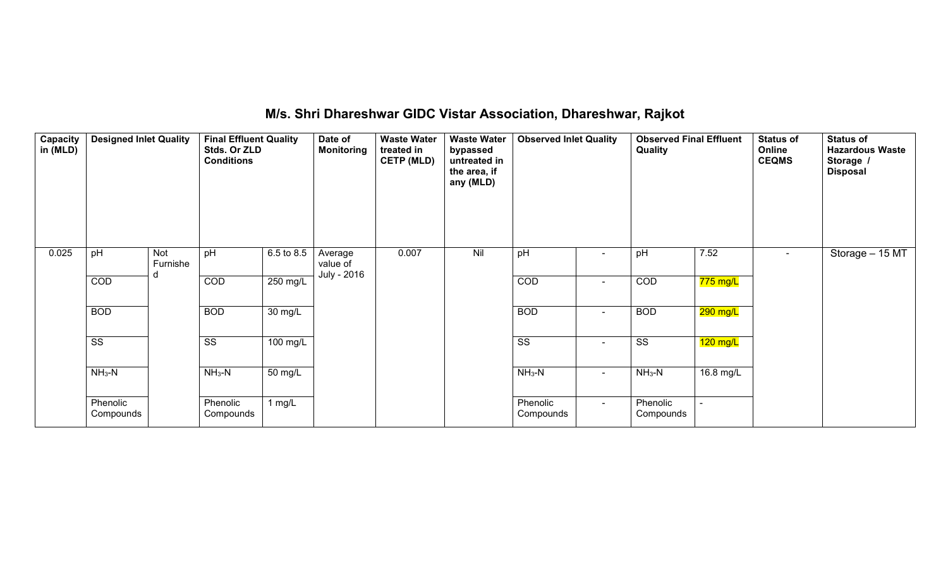| Capacity<br>in (MLD) | <b>Designed Inlet Quality</b> |                 | <b>Final Effluent Quality</b><br>Stds. Or ZLD<br><b>Conditions</b> |            | Date of<br><b>Monitoring</b> | <b>Waste Water</b><br>treated in<br><b>CETP (MLD)</b> | <b>Waste Water</b><br><b>Observed Inlet Quality</b><br>bypassed<br>untreated in<br>the area, if<br>any (MLD) |                        |                          | <b>Observed Final Effluent</b><br>Quality |            | <b>Status of</b><br>Online<br><b>CEQMS</b> | <b>Status of</b><br><b>Hazardous Waste</b><br>Storage /<br><b>Disposal</b> |
|----------------------|-------------------------------|-----------------|--------------------------------------------------------------------|------------|------------------------------|-------------------------------------------------------|--------------------------------------------------------------------------------------------------------------|------------------------|--------------------------|-------------------------------------------|------------|--------------------------------------------|----------------------------------------------------------------------------|
| 0.025                | pH                            | Not<br>Furnishe | pH                                                                 | 6.5 to 8.5 | Average<br>value of          | 0.007                                                 | Nil                                                                                                          | pH                     | $\overline{\phantom{a}}$ | pH                                        | 7.52       | $\sim$                                     | Storage - 15 MT                                                            |
|                      | COD                           | d               | $\overline{COD}$                                                   | 250 mg/L   | July - 2016                  |                                                       |                                                                                                              | COD                    | $\sim$                   | COD                                       | $775$ mg/L |                                            |                                                                            |
|                      | <b>BOD</b>                    |                 | <b>BOD</b>                                                         | 30 mg/L    |                              |                                                       |                                                                                                              | <b>BOD</b>             | $\sim$                   | <b>BOD</b>                                | 290 mg/L   |                                            |                                                                            |
|                      | $\overline{\text{SS}}$        |                 | $\overline{\text{ss}}$                                             | 100 mg/L   |                              |                                                       |                                                                                                              | $\overline{\text{ss}}$ | $\sim$                   | $\overline{\text{SS}}$                    | $120$ mg/L |                                            |                                                                            |
|                      | $NH3-N$                       |                 | $NH3-N$                                                            | 50 mg/L    |                              |                                                       |                                                                                                              | $NH3-N$                | $\sim$                   | $NH3-N$                                   | 16.8 mg/L  |                                            |                                                                            |
|                      | Phenolic<br>Compounds         |                 | Phenolic<br>Compounds                                              | 1 $mg/L$   |                              |                                                       |                                                                                                              | Phenolic<br>Compounds  | $\sim$                   | Phenolic<br>Compounds                     |            |                                            |                                                                            |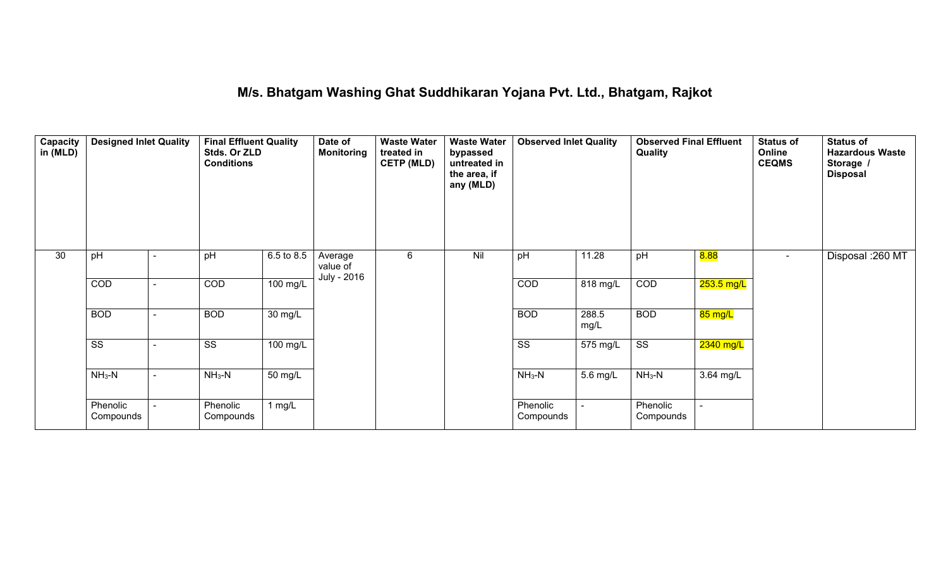### **M/s. Bhatgam Washing Ghat Suddhikaran Yojana Pvt. Ltd., Bhatgam, Rajkot**

| <b>Capacity</b><br>in (MLD) | <b>Designed Inlet Quality</b> |  | <b>Final Effluent Quality</b><br>Stds. Or ZLD<br><b>Conditions</b> |            | Date of<br><b>Monitoring</b> | <b>Waste Water</b><br>treated in<br><b>CETP (MLD)</b> | <b>Waste Water</b><br>bypassed<br>untreated in<br>the area, if<br>any (MLD) | <b>Observed Inlet Quality</b> |               | <b>Observed Final Effluent</b><br>Quality |                          | <b>Status of</b><br>Online<br><b>CEQMS</b> | <b>Status of</b><br><b>Hazardous Waste</b><br>Storage /<br><b>Disposal</b> |
|-----------------------------|-------------------------------|--|--------------------------------------------------------------------|------------|------------------------------|-------------------------------------------------------|-----------------------------------------------------------------------------|-------------------------------|---------------|-------------------------------------------|--------------------------|--------------------------------------------|----------------------------------------------------------------------------|
| 30                          | pH                            |  | pH                                                                 | 6.5 to 8.5 | Average<br>value of          | 6                                                     | Nil                                                                         | pH                            | 11.28         | pH                                        | 8.88                     | $\overline{\phantom{a}}$                   | Disposal : 260 MT                                                          |
|                             | COD                           |  | COD                                                                | 100 mg/L   | July - 2016                  |                                                       |                                                                             | COD                           | 818 mg/L      | COD                                       | <mark>253.5 mg/L</mark>  |                                            |                                                                            |
|                             | <b>BOD</b>                    |  | <b>BOD</b>                                                         | 30 mg/L    |                              |                                                       |                                                                             | <b>BOD</b>                    | 288.5<br>mg/L | <b>BOD</b>                                | 85 mg/L                  |                                            |                                                                            |
|                             | $\overline{\text{SS}}$        |  | $\overline{\text{ss}}$                                             | 100 mg/L   |                              |                                                       |                                                                             | $\overline{\text{ss}}$        | 575 mg/L      | $\overline{\text{SS}}$                    | 2340 mg/L                |                                            |                                                                            |
|                             | $NH3-N$                       |  | $NH3-N$                                                            | 50 mg/L    |                              |                                                       |                                                                             | $NH3-N$                       | 5.6 mg/L      | $NH3-N$                                   | 3.64 mg/L                |                                            |                                                                            |
|                             | Phenolic<br>Compounds         |  | Phenolic<br>Compounds                                              | 1 $mg/L$   |                              |                                                       |                                                                             | Phenolic<br>Compounds         | $\sim$        | Phenolic<br>Compounds                     | $\overline{\phantom{0}}$ |                                            |                                                                            |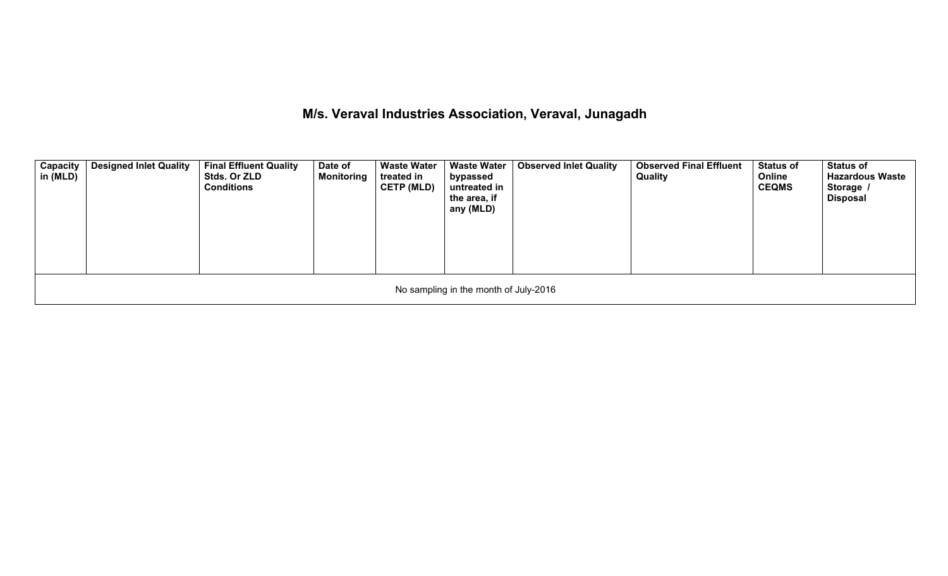# **M/s. Veraval Industries Association, Veraval, Junagadh**

| Capacity<br>in (MLD) | Designed Inlet Quality | <b>Final Effluent Quality</b><br><b>Stds. Or ZLD</b><br><b>Conditions</b> | Date of<br><b>Monitoring</b> | <b>Waste Water</b><br>treated in<br><b>CETP (MLD)</b> | Waste Water<br>bypassed<br>untreated in<br>the area, if<br>any (MLD) | <b>Observed Inlet Quality</b> | <b>Observed Final Effluent</b><br><b>Quality</b> | <b>Status of</b><br>Online<br><b>CEQMS</b> | <b>Status of</b><br><b>Hazardous Waste</b><br>Storage /<br><b>Disposal</b> |  |
|----------------------|------------------------|---------------------------------------------------------------------------|------------------------------|-------------------------------------------------------|----------------------------------------------------------------------|-------------------------------|--------------------------------------------------|--------------------------------------------|----------------------------------------------------------------------------|--|
|                      |                        |                                                                           |                              |                                                       | No sampling in the month of July-2016                                |                               |                                                  |                                            |                                                                            |  |